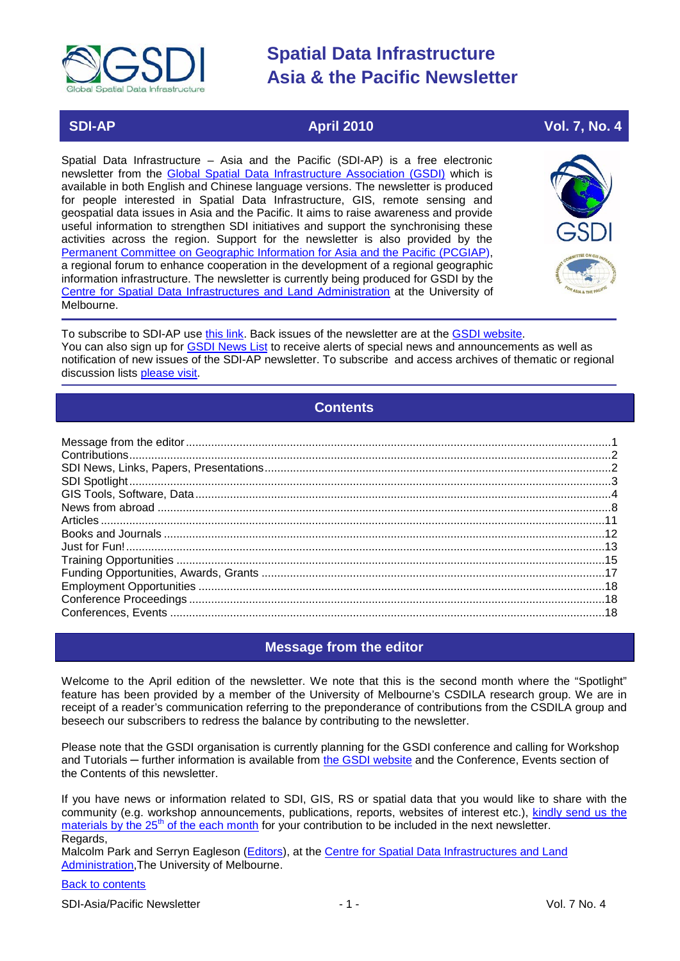

### **SDI-AP April 2010 Vol. 7, No. 4**

Spatial Data Infrastructure – Asia and the Pacific (SDI-AP) is a free electronic newsletter from the [Global Spatial Data Infrastructure Association \(GSDI\)](http://www.gsdi.org/) which is available in both English and Chinese language versions. The newsletter is produced for people interested in Spatial Data Infrastructure, GIS, remote sensing and geospatial data issues in Asia and the Pacific. It aims to raise awareness and provide useful information to strengthen SDI initiatives and support the synchronising these activities across the region. Support for the newsletter is also provided by the [Permanent Committee on Geographic Information for Asia and the Pacific \(PCGIAP\)](http://www.pcgiap.org/), a regional forum to enhance cooperation in the development of a regional geographic information infrastructure. The newsletter is currently being produced for GSDI by the [Centre for Spatial Data Infrastructures and Land Administration](http://www.csdila.unimelb.edu.au/) at the University of Melbourne.



To subscribe to SDI-AP use [this link.](http://www.gsdi.org/newslist/gsdisubscribe.asp) Back issues of the newsletter are at the [GSDI website.](http://www.gsdi.org/newsletters.asp) You can also sign up for **GSDI News List** to receive alerts of special news and announcements as well as notification of new issues of the SDI-AP newsletter. To subscribe and access archives of thematic or regional discussion lists [please visit.](http://www.gsdi.org/discussionlists.asp)

### **Contents**

<span id="page-0-0"></span>

### **Message from the editor**

<span id="page-0-1"></span>Welcome to the April edition of the newsletter. We note that this is the second month where the "Spotlight" feature has been provided by a member of the University of Melbourne's CSDILA research group. We are in receipt of a reader's communication referring to the preponderance of contributions from the CSDILA group and beseech our subscribers to redress the balance by contributing to the newsletter.

Please note that the GSDI organisation is currently planning for the GSDI conference and calling for Workshop and Tutorials — further information is available from [the GSDI website](http://www.gsdi.org/node/246) and the Conference, Events section of the Contents of this newsletter.

If you have news or information related to SDI, GIS, RS or spatial data that you would like to share with the community (e.g. workshop announcements, publications, reports, websites of interest etc.), [kindly send us](mailto:sdi-ap@gsdi.org) the [materials by the 25](mailto:sdi-ap@gsdi.org)<sup>th</sup> of the each month for your contribution to be included in the next newsletter. Regards,

Malcolm Park and Serryn Eagleson [\(Editors\)](mailto:Editor.SDIAP@gmail.com), at the [Centre for Spatial Data Infrastructures and Land](http://www.csdila.unimelb.edu.au/)  [Administration,](http://www.csdila.unimelb.edu.au/)The University of Melbourne.

### [Back to contents](#page-0-0)

SDI-Asia/Pacific Newsletter  $\overline{1}$  - 1 -  $\overline{2}$  - 1 -  $\overline{2}$  Vol. 7 No. 4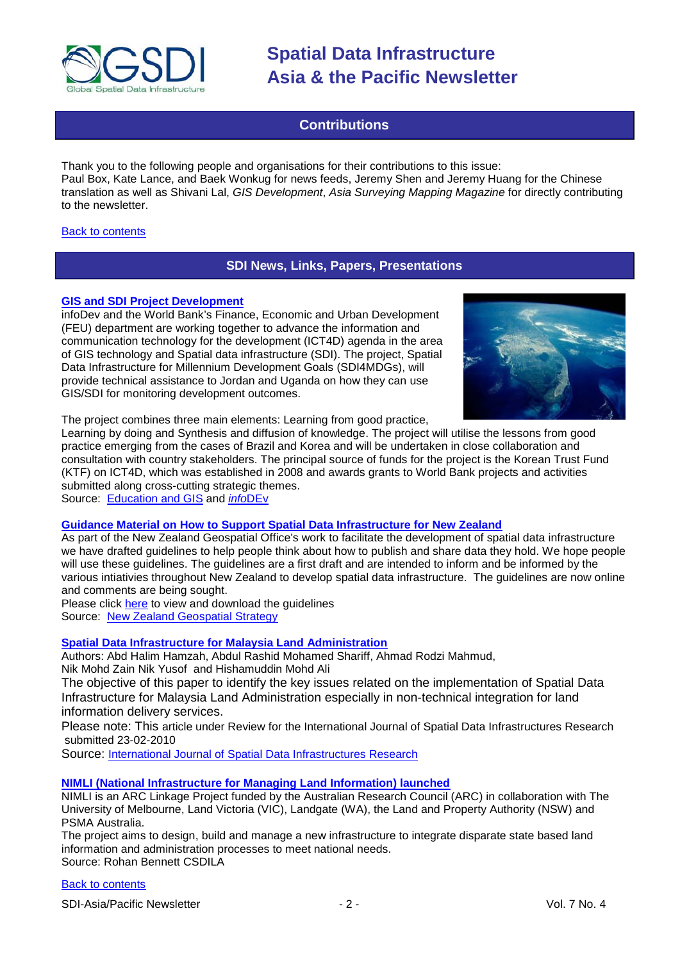

### **Contributions**

<span id="page-1-0"></span>Thank you to the following people and organisations for their contributions to this issue: Paul Box, Kate Lance, and Baek Wonkug for news feeds, Jeremy Shen and Jeremy Huang for the Chinese translation as well as Shivani Lal, *GIS Development*, *Asia Surveying Mapping Magazine* for directly contributing to the newsletter.

#### <span id="page-1-1"></span>**[Back to contents](#page-0-0)**

### **SDI News, Links, Papers, Presentations**

#### **GIS [and SDI Project Development](http://www.educationgis.com/2010/03/gis-and-sdi-project-development.html)**

infoDev and the World Bank's Finance, Economic and Urban Development (FEU) department [are working together](http://www.infodev.org/en/Article.479.html) to advance the information and communication technology for the development (ICT4D) agenda in the area of GIS technology and Spatial data infrastructure (SDI). The project, Spatial Data Infrastructure for Millennium Development Goals (SDI4MDGs), will provide technical assistance to Jordan and Uganda on how they can use GIS/SDI for monitoring development outcomes.



The project combines three main elements: Learning from good practice,

Learning by doing and Synthesis and diffusion of knowledge. The project will utilise the lessons from good practice emerging from the cases of Brazil and Korea and will be undertaken in close collaboration and consultation with country stakeholders. The principal source of funds for the project is the Korean Trust Fund (KTF) on ICT4D, which was established in 2008 and awards grants to World Bank projects and activities submitted along cross-cutting strategic themes.

Source: [Education and GIS](http://www.educationgis.com/) and *info*[DEv](http://www.infodev.org/en/Article.479.html)

#### **[Guidance Material on How to Support Spatial Data Infrastructure for New Zealand](http://www.geospatial.govt.nz/guidance-material-on-nz-sdi/)**

As part of the New Zealand Geospatial Office's work to facilitate the development of spatial data infrastructure we have drafted guidelines to help people think about how to publish and share data they hold. We hope people will use these guidelines. The guidelines are a first draft and are intended to inform and be informed by the various intiativies throughout New Zealand to develop spatial data infrastructure. The guidelines are now online and comments are being sought.

Please click [here](http://www.geospatial.govt.nz/guidance-material-on-nz-sdi/) to view and download the guidelines Source: [New Zealand Geospatial Strategy](http://www.geospatial.govt.nz/)

#### **[Spatial Data Infrastructure for Malaysia Land Administration](http://ijsdir.jrc.ec.europa.eu/index.php/ijsdir/article/viewFile/175/228)**

Authors: Abd Halim Hamzah, Abdul Rashid Mohamed Shariff, Ahmad Rodzi Mahmud, Nik Mohd Zain Nik Yusof and Hishamuddin Mohd Ali

The objective of this paper to identify the key issues related on the implementation of Spatial Data Infrastructure for Malaysia Land Administration especially in non-technical integration for land information delivery services.

Please note: This article under Review for the International Journal of Spatial Data Infrastructures Research submitted 23-02-2010

Source: International Journal of [Spatial Data Infrastructures Research](http://ijsdir.jrc.ec.europa.eu/index.php/)

### **[NIMLI \(National Infrastructure for Managing Land Information\) launched](http://blogs.unimelb.edu.au/nimli/)**

NIMLI is an ARC Linkage Project funded by the Australian Research Council (ARC) in collaboration with The University of Melbourne, Land Victoria (VIC), Landgate (WA), the Land and Property Authority (NSW) and PSMA Australia.

The project aims to design, build and manage a new infrastructure to integrate disparate state based land information and administration processes to meet national needs. Source: Rohan Bennett CSDILA

#### [Back to contents](#page-0-0)

SDI-Asia/Pacific Newsletter  $\sim$  2 - 2 - Vol. 7 No. 4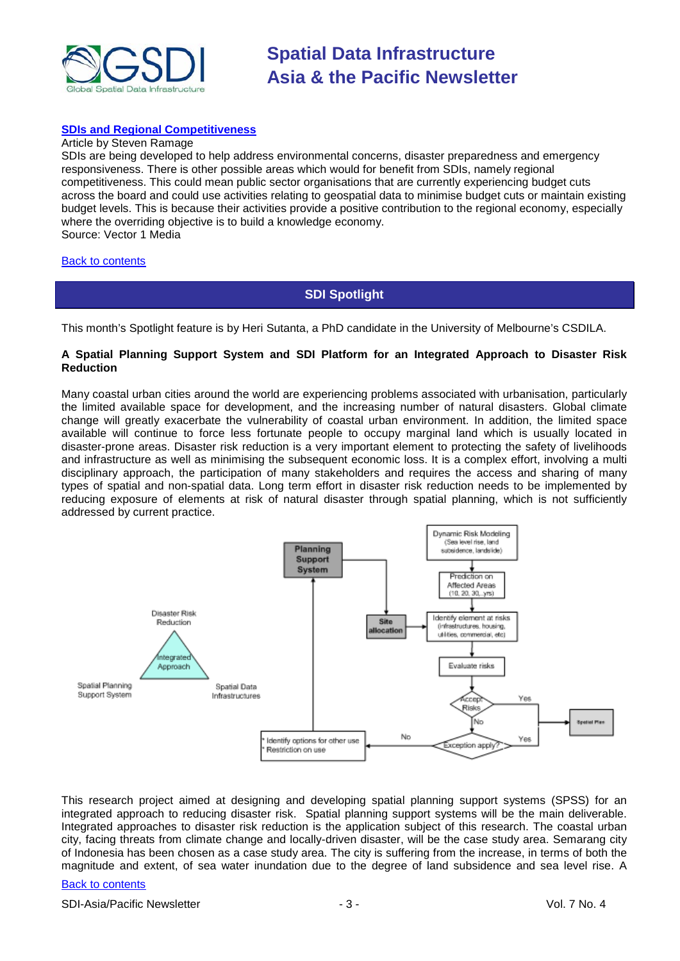

#### **[SDIs and Regional Competitiveness](http://www.vector1media.com/articles/columns/11487-sdis-and-regional-competitiveness)**

#### Article by Steven Ramage

SDIs are being developed to help address environmental concerns, disaster preparedness and emergency responsiveness. There is other possible areas which would for benefit from SDIs, namely regional competitiveness. This could mean public sector organisations that are currently experiencing budget cuts across the board and could use activities relating to geospatial data to minimise budget cuts or maintain existing budget levels. This is because their activities provide a positive contribution to the regional economy, especially where the overriding objective is to build a knowledge economy. Source: Vector 1 Media

#### <span id="page-2-0"></span>[Back to contents](#page-0-0)

### **SDI Spotlight**

This month's Spotlight feature is by Heri Sutanta, a PhD candidate in the University of Melbourne's CSDILA.

#### **A Spatial Planning Support System and SDI Platform for an Integrated Approach to Disaster Risk Reduction**

Many coastal urban cities around the world are experiencing problems associated with urbanisation, particularly the limited available space for development, and the increasing number of natural disasters. Global climate change will greatly exacerbate the vulnerability of coastal urban environment. In addition, the limited space available will continue to force less fortunate people to occupy marginal land which is usually located in disaster-prone areas. Disaster risk reduction is a very important element to protecting the safety of livelihoods and infrastructure as well as minimising the subsequent economic loss. It is a complex effort, involving a multi disciplinary approach, the participation of many stakeholders and requires the access and sharing of many types of spatial and non-spatial data. Long term effort in disaster risk reduction needs to be implemented by reducing exposure of elements at risk of natural disaster through spatial planning, which is not sufficiently addressed by current practice.



This research project aimed at designing and developing spatial planning support systems (SPSS) for an integrated approach to reducing disaster risk. Spatial planning support systems will be the main deliverable. Integrated approaches to disaster risk reduction is the application subject of this research. The coastal urban city, facing threats from climate change and locally-driven disaster, will be the case study area. Semarang city of Indonesia has been chosen as a case study area. The city is suffering from the increase, in terms of both the magnitude and extent, of sea water inundation due to the degree of land subsidence and sea level rise. A

#### [Back to contents](#page-0-0)

SDI-Asia/Pacific Newsletter  $\overline{3}$  - 3 -  $\overline{3}$  -  $\overline{3}$  -  $\overline{1}$  Vol. 7 No. 4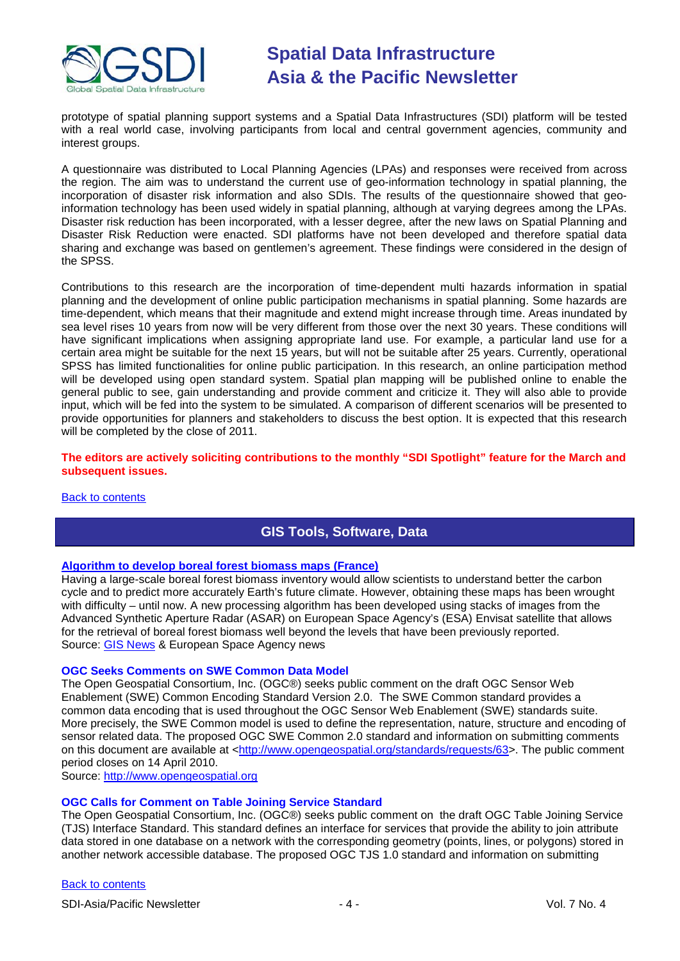

prototype of spatial planning support systems and a Spatial Data Infrastructures (SDI) platform will be tested with a real world case, involving participants from local and central government agencies, community and interest groups.

A questionnaire was distributed to Local Planning Agencies (LPAs) and responses were received from across the region. The aim was to understand the current use of geo-information technology in spatial planning, the incorporation of disaster risk information and also SDIs. The results of the questionnaire showed that geoinformation technology has been used widely in spatial planning, although at varying degrees among the LPAs. Disaster risk reduction has been incorporated, with a lesser degree, after the new laws on Spatial Planning and Disaster Risk Reduction were enacted. SDI platforms have not been developed and therefore spatial data sharing and exchange was based on gentlemen's agreement. These findings were considered in the design of the SPSS.

Contributions to this research are the incorporation of time-dependent multi hazards information in spatial planning and the development of online public participation mechanisms in spatial planning. Some hazards are time-dependent, which means that their magnitude and extend might increase through time. Areas inundated by sea level rises 10 years from now will be very different from those over the next 30 years. These conditions will have significant implications when assigning appropriate land use. For example, a particular land use for a certain area might be suitable for the next 15 years, but will not be suitable after 25 years. Currently, operational SPSS has limited functionalities for online public participation. In this research, an online participation method will be developed using open standard system. Spatial plan mapping will be published online to enable the general public to see, gain understanding and provide comment and criticize it. They will also able to provide input, which will be fed into the system to be simulated. A comparison of different scenarios will be presented to provide opportunities for planners and stakeholders to discuss the best option. It is expected that this research will be completed by the close of 2011.

#### **The editors are actively soliciting contributions to the monthly "SDI Spotlight" feature for the March and subsequent issues.**

#### <span id="page-3-0"></span>[Back to contents](#page-0-0)

### **GIS Tools, Software, Data**

#### **[Algorithm to develop boreal forest biomass maps \(France\)](http://www.esa.int/SPECIALS/Space_for_our_climate/SEMWYRCKP6G_0.html)**

Having a large-scale boreal forest biomass inventory would allow scientists to understand better the carbon cycle and to predict more accurately Earth's future climate. However, obtaining these maps has been wrought with difficulty – until now. A new processing algorithm has been developed using stacks of images from the Advanced Synthetic Aperture Radar (ASAR) on European Space Agency's (ESA) Envisat satellite that allows for the retrieval of boreal forest biomass well beyond the levels that have been previously reported. Source: [GIS News](http://www.gisdevelopment.net/news/viewn.asp?id=GIS:N_vrtznubeoc) & European Space Agency news

#### **OGC Seeks Comments on SWE Common Data Model**

The Open Geospatial Consortium, Inc. (OGC®) seeks public comment on the draft OGC Sensor Web Enablement (SWE) Common Encoding Standard Version 2.0. The SWE Common standard provides a common data encoding that is used throughout the OGC Sensor Web Enablement (SWE) standards suite. More precisely, the SWE Common model is used to define the representation, nature, structure and encoding of sensor related data. The proposed OGC SWE Common 2.0 standard and information on submitting comments on this document are available at [<http://www.opengeospatial.org/standards/requests/63>](http://www.opengeospatial.org/standards/requests/63). The public comment period closes on 14 April 2010.

Source: [http://www.opengeospatial.org](http://www.opengeospatial.org/)

#### **OGC Calls for Comment on Table Joining Service Standard**

The Open Geospatial Consortium, Inc. (OGC®) seeks public comment on the draft OGC Table Joining Service (TJS) Interface Standard. This standard defines an interface for services that provide the ability to join attribute data stored in one database on a network with the corresponding geometry (points, lines, or polygons) stored in another network accessible database. The proposed OGC TJS 1.0 standard and information on submitting

#### [Back to contents](#page-0-0)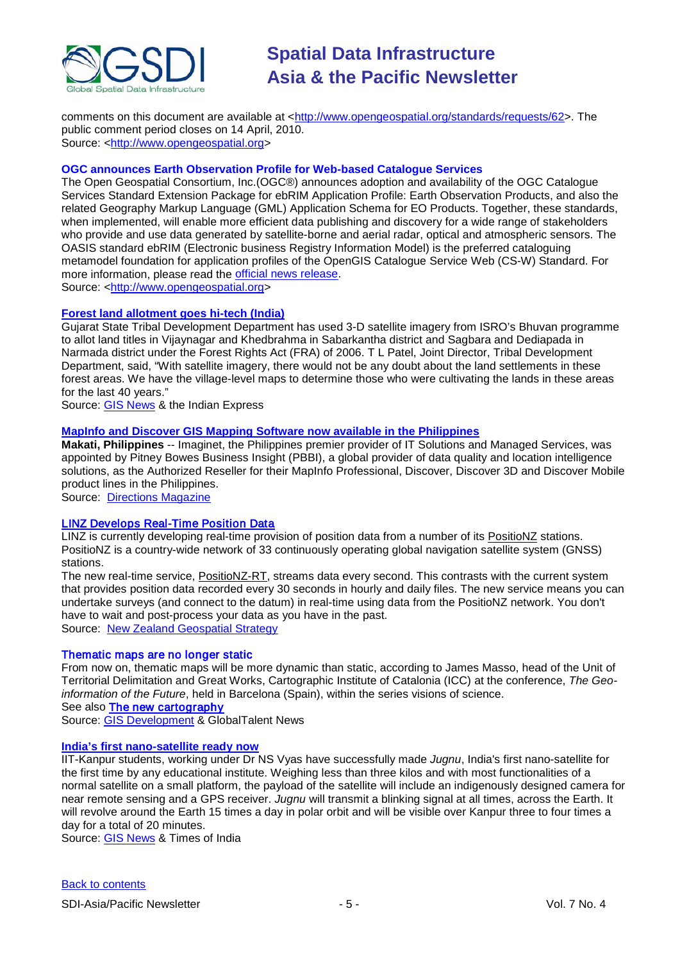

comments on this document are available at [<http://www.opengeospatial.org/standards/requests/62>](http://www.opengeospatial.org/standards/requests/62). The public comment period closes on 14 April, 2010. Source: [<http://www.opengeospatial.org>](http://www.opengeospatial.org/)

#### **OGC announces Earth Observation Profile for Web-based Catalogue Services**

The Open Geospatial Consortium, Inc.(OGC®) announces adoption and availability of the OGC Catalogue Services Standard Extension Package for ebRIM Application Profile: Earth Observation Products, and also the related Geography Markup Language (GML) Application Schema for EO Products. Together, these standards, when implemented, will enable more efficient data publishing and discovery for a wide range of stakeholders who provide and use data generated by satellite-borne and aerial radar, optical and atmospheric sensors. The OASIS standard ebRIM (Electronic business Registry Information Model) is the preferred cataloguing metamodel foundation for application profiles of the OpenGIS Catalogue Service Web (CS-W) Standard. For more information, please read the [official news release.](http://www.opengeospatial.org/pressroom/pressreleases/1142) Source: [<http://www.opengeospatial.org>](http://www.opengeospatial.org/)

#### **[Forest land allotment goes hi-tech \(India\)](http://www.indianexpress.com/news/forest-land-allotment-goes-hitech/592329/0)**

Gujarat State Tribal Development Department has used 3-D satellite imagery from ISRO's Bhuvan programme to allot land titles in Vijaynagar and Khedbrahma in Sabarkantha district and Sagbara and Dediapada in Narmada district under the Forest Rights Act (FRA) of 2006. T L Patel, Joint Director, Tribal Development Department, said, "With satellite imagery, there would not be any doubt about the land settlements in these forest areas. We have the village-level maps to determine those who were cultivating the lands in these areas for the last 40 years."

Source: [GIS News](http://www.gisdevelopment.net/news/viewn.asp?id=GIS:N_huywjfvqkc&Ezine=mar2210§ion=News) & the Indian Express

#### **[MapInfo and Discover GIS Mapping Software now available in the Philippines](http://www.directionsmag.com/press.releases/?duty=Show&id=45986)**

**Makati, Philippines** -- Imaginet, the Philippines premier provider of IT Solutions and Managed Services, was appointed by Pitney Bowes Business Insight (PBBI), a global provider of data quality and location intelligence solutions, as the Authorized Reseller for their MapInfo Professional, Discover, Discover 3D and Discover Mobile product lines in the Philippines.

Source: [Directions Magazine](http://www.directionsmag.com/press.releases/?duty=Show&id=45986)

#### [LINZ Develops Real-Time Position Data](http://www.geospatial.govt.nz/linz-develops-real-time-position-data/)

LINZ is currently developing real-time provision of position data from a number of its [PositioNZ](http://www.linz.govt.nz/geodetic/positionz/index.aspx) stations. PositioNZ is a country-wide network of 33 continuously operating global navigation satellite system (GNSS) stations.

The new real-time service, [PositioNZ-RT,](http://www.linz.govt.nz/geodetic/positionz/rt/index.aspx) streams data every second. This contrasts with the current system that provides position data recorded every 30 seconds in hourly and daily files. The new service means you can undertake surveys (and connect to the datum) in real-time using data from the PositioNZ network. You don't have to wait and post-process your data as you have in the past.

Source: [New Zealand Geospatial Strategy](http://www.geospatial.govt.nz/linz-develops-real-time-position-data/)

#### Thematic maps are no longer static

From now on, thematic maps will be more dynamic than static, according to James Masso, head of the Unit of Territorial Delimitation and Great Works, Cartographic Institute of Catalonia (ICC) at the conference, *The Geoinformation of the Future*, held in Barcelona (Spain), within the series visions of science.

See also [The new cartography](http://www.en.globaltalentnews.com/articles/2860/the-new-cartography.html)

Source: [GIS Development](http://www.gisdevelopment.net/news/viewn.asp?id=GIS:N_qmlpfizhdk) & GlobalTalent News

#### **[India's first nano-satellite ready now](http://timesofindia.indiatimes.com/city/kanpur/Jugnu-ready-to-be-handed-over-to-ISRO/articleshow/5638512.cms)**

IIT-Kanpur students, working under Dr NS Vyas have successfully made *Jugnu*, India's first nano-satellite for the first time by any educational institute. Weighing less than three kilos and with most functionalities of a normal satellite on a small platform, the payload of the satellite will include an indigenously designed camera for near remote sensing and a GPS receiver. *Jugnu* will transmit a blinking signal at all times, across the Earth. It will revolve around the Earth 15 times a day in polar orbit and will be visible over Kanpur three to four times a day for a total of 20 minutes.

Source: [GIS News](http://www.gisdevelopment.net/news/viewn.asp?id=GIS:N_jtokxplzvu) & Times of India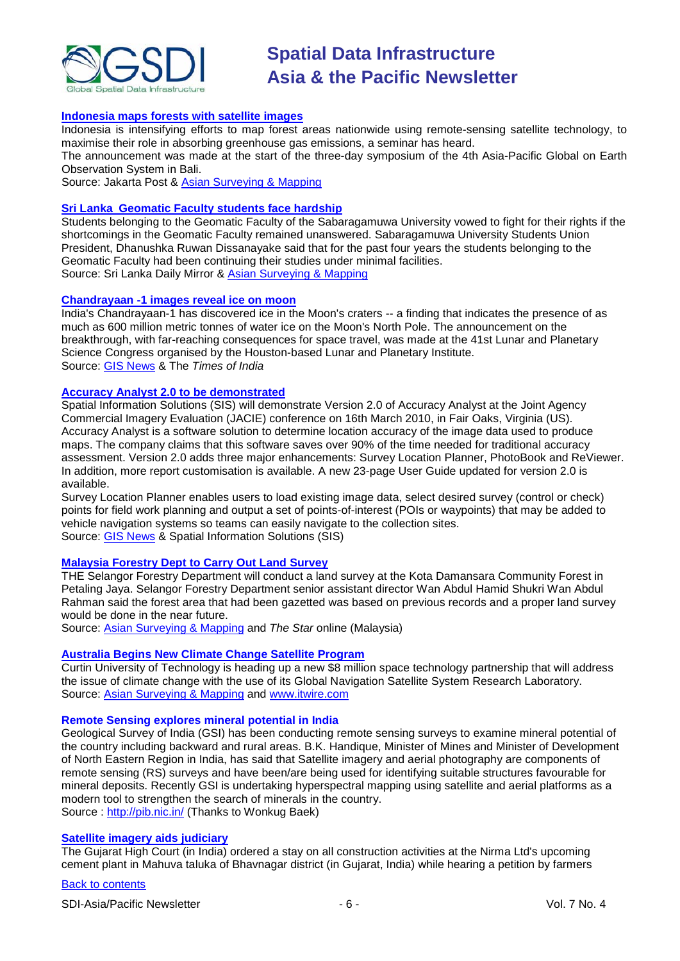

#### **[Indonesia maps forests with satellite images](http://www.thejakartapost.com/news/2010/03/11/ri-maps-forests-with-satellite-images.html)**

Indonesia is intensifying efforts to map forest areas nationwide using remote-sensing satellite technology, to maximise their role in absorbing greenhouse gas emissions, a seminar has heard.

The announcement was made at the start of the three-day symposium of the 4th Asia-Pacific Global on Earth Observation System in Bali.

Source: Jakarta Post & [Asian Surveying & Mapping](http://asmmag.com/news/ri-maps-forests-with-satellite-images)

#### **Sri Lanka [Geomatic Faculty students face hardship](http://www.dailymirror.lk/print/index.php/news/news/5736.html)**

Students belonging to the Geomatic Faculty of the Sabaragamuwa University vowed to fight for their rights if the shortcomings in the Geomatic Faculty remained unanswered. Sabaragamuwa University Students Union President, Dhanushka Ruwan Dissanayake said that for the past four years the students belonging to the Geomatic Faculty had been continuing their studies under minimal facilities. Source: Sri Lanka Daily Mirror & [Asian Surveying & Mapping](http://asmmag.com/news/geomatics-program-at-sri-lankan-university-is-promised-upgrades)

#### **[Chandrayaan -1 images reveal ice on moon](http://timesofindia.indiatimes.com/india/Chandrayaan-finds-ice-on-moon/articleshow/5635005.cms)**

India's Chandrayaan-1 has discovered ice in the Moon's craters -- a finding that indicates the presence of as much as 600 million metric tonnes of water ice on the Moon's North Pole. The announcement on the breakthrough, with far-reaching consequences for space travel, was made at the 41st Lunar and Planetary Science Congress organised by the Houston-based Lunar and Planetary Institute. Source: [GIS News](http://www.gisdevelopment.net/news/viewn.asp?id=GIS:N_bfjlmwzyor&Ezine=mar0810§ion=News) & The *Times of India*

#### **[Accuracy Analyst 2.0 to be demonstrated](http://www.spatialis.com/)**

Spatial Information Solutions (SIS) will demonstrate Version 2.0 of Accuracy Analyst at the Joint Agency Commercial Imagery Evaluation (JACIE) conference on 16th March 2010, in Fair Oaks, Virginia (US). Accuracy Analyst is a software solution to determine location accuracy of the image data used to produce maps. The company claims that this software saves over 90% of the time needed for traditional accuracy assessment. Version 2.0 adds three major enhancements: Survey Location Planner, PhotoBook and ReViewer. In addition, more report customisation is available. A new 23-page User Guide updated for version 2.0 is available.

Survey Location Planner enables users to load existing image data, select desired survey (control or check) points for field work planning and output a set of points-of-interest (POIs or waypoints) that may be added to vehicle navigation systems so teams can easily navigate to the collection sites. Source: [GIS News](http://www.gisdevelopment.net/news/viewn.asp?id=GIS:N_ryjavbpokq) & Spatial Information Solutions (SIS)

#### **Malaysia Forestry Dept [to Carry Out Land Survey](http://thestar.com.my/metro/story.asp?file=/2010/3/16/central/5862833&sec=central)**

THE Selangor Forestry Department will conduct a land survey at the Kota Damansara Community Forest in Petaling Jaya. Selangor Forestry Department senior assistant director Wan Abdul Hamid Shukri Wan Abdul Rahman said the forest area that had been gazetted was based on previous records and a proper land survey would be done in the near future.

Source: [Asian Surveying & Mapping](http://asmmag.com/news/malaysia-forestry-dept-to-carry-out-land-survey) and *The Star* online (Malaysia)

#### **[Australia Begins New Climate Change Satellite Program](http://www.itwire.com/science-news/space/37643-australia-begins-new-climate-change-satellite-program-)**

Curtin University of Technology is heading up a new \$8 million space technology partnership that will address the issue of climate change with the use of its Global Navigation Satellite System Research Laboratory. Source: [Asian Surveying & Mapping](http://asmmag.com/news/australia-begins-new-climate-change-satellite-program) and [www.itwire.com](http://www.itwire.com/about-itwire)

#### **Remote Sensing explores mineral potential in India**

Geological Survey of India (GSI) has been conducting remote sensing surveys to examine mineral potential of the country including backward and rural areas. B.K. Handique, Minister of Mines and Minister of Development of North Eastern Region in India, has said that Satellite imagery and aerial photography are components of remote sensing (RS) surveys and have been/are being used for identifying suitable structures favourable for mineral deposits. Recently GSI is undertaking hyperspectral mapping using satellite and aerial platforms as a modern tool to strengthen the search of minerals in the country. Source :<http://pib.nic.in/> (Thanks to Wonkug Baek)

#### **[Satellite imagery aids judiciary](http://www.gisdevelopment.net/news/viewn.asp?id=GIS:N_krpyhlfzto)**

The Gujarat High Court (in India) ordered a stay on all construction activities at the Nirma Ltd's upcoming cement plant in Mahuva taluka of Bhavnagar district (in Gujarat, India) while hearing a petition by farmers

#### [Back to contents](#page-0-0)

SDI-Asia/Pacific Newsletter  $\overline{6}$  - 6 -  $\overline{8}$  -  $\overline{9}$  -  $\overline{9}$  -  $\overline{9}$  -  $\overline{9}$  -  $\overline{9}$  -  $\overline{9}$  -  $\overline{9}$  -  $\overline{9}$  -  $\overline{9}$  -  $\overline{9}$  -  $\overline{9}$  -  $\overline{9}$  -  $\overline{9}$  -  $\overline{9}$  -  $\overline{9}$  -  $\over$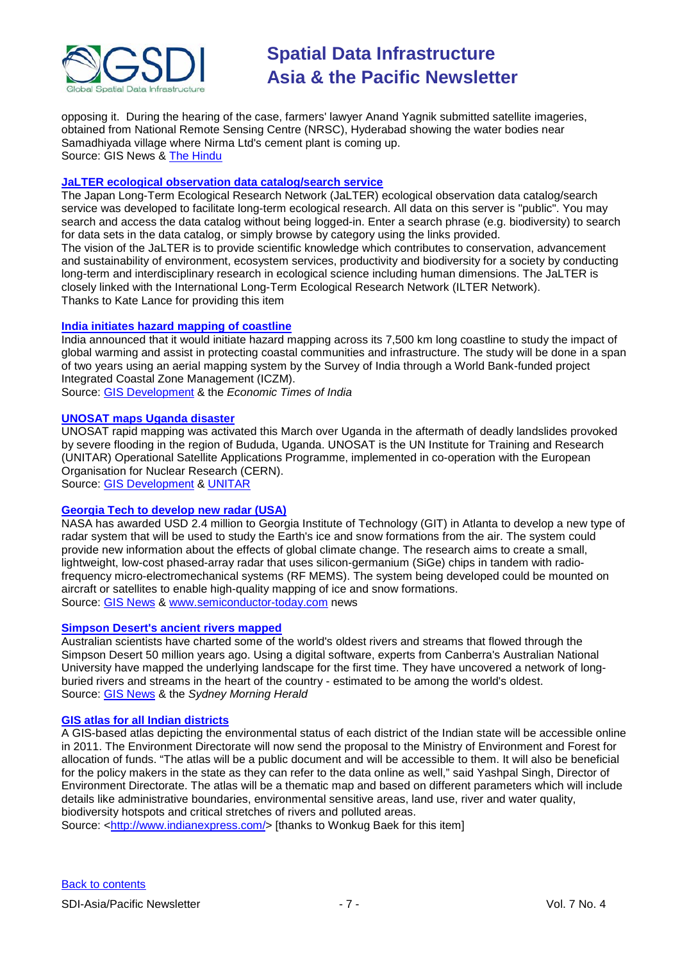

opposing it. During the hearing of the case, farmers' lawyer Anand Yagnik submitted satellite imageries, obtained from National Remote Sensing Centre (NRSC), Hyderabad showing the water bodies near Samadhiyada village where Nirma Ltd's cement plant is coming up. Source: GIS News & [The Hindu](http://www.thehindubusinessline.com/blnus/28161920.htm)

#### **[JaLTER ecological observation data catalog/search service](http://db.cger.nies.go.jp/JaLTER/)**

The Japan Long-Term Ecological Research Network (JaLTER) ecological observation data catalog/search service was developed to facilitate long-term ecological research. All data on this server is "public". You may search and access the data catalog without being logged-in. Enter a search phrase (e.g. biodiversity) to search for data sets in the data catalog, or simply browse by category using the links provided. The vision of the JaLTER is to provide scientific knowledge which contributes to conservation, advancement and sustainability of environment, ecosystem services, productivity and biodiversity for a society by conducting long-term and interdisciplinary research in ecological science including human dimensions. The JaLTER is closely linked with the International Long-Term Ecological Research Network (ILTER Network). Thanks to Kate Lance for providing this item

#### **[India initiates hazard mapping of coastline](http://economictimes.indiatimes.com/news/politics/nation/India-initiates-project-to-study-impact-of-global-warming/articleshow/5724252.cms)**

India announced that it would initiate hazard mapping across its 7,500 km long coastline to study the impact of global warming and assist in protecting coastal communities and infrastructure. The study will be done in a span of two years using an aerial mapping system by the Survey of India through a World Bank-funded project Integrated Coastal Zone Management (ICZM).

Source: [GIS Development](http://www.gisdevelopment.net/news/viewn.asp?id=GIS:N_oavnkimxyc) & the *Economic Times of India*

#### **[UNOSAT maps Uganda disaster](http://www.unitar.org/node/923)**

UNOSAT rapid mapping was activated this March over Uganda in the aftermath of deadly landslides provoked by severe flooding in the region of Bududa, Uganda. UNOSAT is the UN Institute for Training and Research (UNITAR) Operational Satellite Applications Programme, implemented in co-operation with the European Organisation for Nuclear Research (CERN).

Source: [GIS Development](http://www.gisdevelopment.net/news/viewn.asp?id=GIS:N_hgzindamcb) & [UNITAR](http://www.unitar.org/home)

#### **[Georgia Tech to develop new radar \(USA\)](http://www.semiconductor-today.com/news_items/2010/MARCH/GEORGIA_050310.htm)**

NASA has awarded USD 2.4 million to Georgia Institute of Technology (GIT) in Atlanta to develop a new type of radar system that will be used to study the Earth's ice and snow formations from the air. The system could provide new information about the effects of global climate change. The research aims to create a small, lightweight, low-cost phased-array radar that uses silicon-germanium (SiGe) chips in tandem with radiofrequency micro-electromechanical systems (RF MEMS). The system being developed could be mounted on aircraft or satellites to enable high-quality mapping of ice and snow formations. Source: [GIS News](http://www.gisdevelopment.net/news/viewn.asp?id=GIS:N_mopftscdnh&Ezine=mar1510§ion=News) & [www.semiconductor-today.com](http://www.semiconductor-today.com/) news

#### **[Simpson Desert's ancient rivers mapped](http://news.smh.com.au/breaking-news-national/simpson-deserts-ancient-rivers-revealed-20100309-pvng.html)**

Australian scientists have charted some of the world's oldest rivers and streams that flowed through the Simpson Desert 50 million years ago. Using a digital software, experts from Canberra's Australian National University have mapped the underlying landscape for the first time. They have uncovered a network of longburied rivers and streams in the heart of the country - estimated to be among the world's oldest. Source: [GIS News](http://www.gisdevelopment.net/news/viewn.asp?id=GIS:N_vnqgdcefrt&Ezine=mar1510§ion=News) & the *Sydney Morning Herald*

#### **[GIS atlas for all Indian districts](http://www.indianexpress.com/news/soon-gis-atlas-for-all-districts-to-go-online/593861/0)**

A GIS-based atlas depicting the environmental status of each district of the Indian state will be accessible online in 2011. The Environment Directorate will now send the proposal to the Ministry of Environment and Forest for allocation of funds. "The atlas will be a public document and will be accessible to them. It will also be beneficial for the policy makers in the state as they can refer to the data online as well," said Yashpal Singh, Director of Environment Directorate. The atlas will be a thematic map and based on different parameters which will include details like administrative boundaries, environmental sensitive areas, land use, river and water quality, biodiversity hotspots and critical stretches of rivers and polluted areas.

Source: [<http://www.indianexpress.com/>](http://www.indianexpress.com/) [thanks to Wonkug Baek for this item]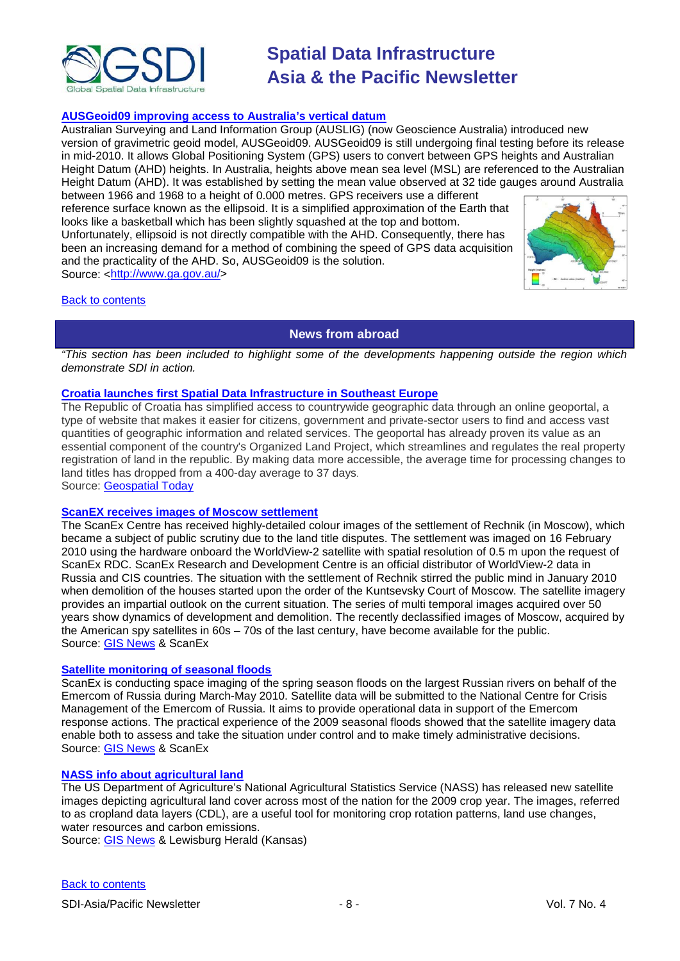

#### **[AUSGeoid09 improving access to Australia's vertical datum](http://www.ga.gov.au/ausgeonews/ausgeonews201003/ausgeoid.jsp)**

Australian Surveying and Land Information Group (AUSLIG) (now Geoscience Australia) introduced new version of gravimetric geoid model, AUSGeoid09. AUSGeoid09 is still undergoing final testing before its release in mid-2010. It allows Global Positioning System (GPS) users to convert between GPS heights and Australian Height Datum (AHD) heights. In Australia, heights above mean sea level (MSL) are referenced to the Australian Height Datum (AHD). It was established by setting the mean value observed at 32 tide gauges around Australia

between 1966 and 1968 to a height of 0.000 metres. GPS receivers use a different reference surface known as the ellipsoid. It is a simplified approximation of the Earth that looks like a basketball which has been slightly squashed at the top and bottom. Unfortunately, ellipsoid is not directly compatible with the AHD. Consequently, there has been an increasing demand for a method of combining the speed of GPS data acquisition and the practicality of the AHD. So, AUSGeoid09 is the solution. Source: [<http://www.ga.gov.au/>](http://www.ga.gov.au/)



#### <span id="page-7-0"></span>[Back to contents](#page-0-0)

### **News from abroad**

*"This section has been included to highlight some of the developments happening outside the region which demonstrate SDI in action.*

#### **[Croatia launches first Spatial Data Infrastructure in Southeast Europe](http://geospatialtoday.com/gst/index.php?option=com_content&view=article&id=483%3Acroatia-launches-first-spatial-data-infrastructure-in-southeast-europe&catid=43%3Apress-releases&Itemid=100)**

The Republic of Croatia has simplified access to countrywide geographic data through an online geoportal, a type of website that makes it easier for citizens, government and private-sector users to find and access vast quantities of geographic information and related services. The geoportal has already proven its value as an essential component of the country's Organized Land Project, which streamlines and regulates the real property registration of land in the republic. By making data more accessible, the average time for processing changes to land titles has dropped from a 400-day average to 37 days.

Source: [Geospatial Today](http://geospatialtoday.com/gst/index.php?option=com_content&view=article&id=483%3Acroatia-launches-first-spatial-data-infrastructure-in-southeast-europe&catid=43%3Apress-releases&Itemid=100)

#### **[ScanEX receives images of Moscow settlement](http://www.scanex.ru/en/news/News_Preview.asp?id=n113544)**

The ScanEx Centre has received highly-detailed colour images of the settlement of Rechnik (in Moscow), which became a subject of public scrutiny due to the land title disputes. The settlement was imaged on 16 February 2010 using the hardware onboard the WorldView-2 satellite with spatial resolution of 0.5 m upon the request of ScanEx RDC. ScanEx Research and Development Centre is an official distributor of WorldView-2 data in Russia and CIS countries. The situation with the settlement of Rechnik stirred the public mind in January 2010 when demolition of the houses started upon the order of the Kuntsevsky Court of Moscow. The satellite imagery provides an impartial outlook on the current situation. The series of multi temporal images acquired over 50 years show dynamics of development and demolition. The recently declassified images of Moscow, acquired by the American spy satellites in 60s – 70s of the last century, have become available for the public. Source: [GIS News](http://www.gisdevelopment.net/news/viewn.asp?id=GIS:N_xuaikcpfzy) & ScanEx

#### **[Satellite monitoring of seasonal floods](http://www.scanex.ru/en/news/News_Preview.asp?id=n16023741)**

ScanEx is conducting space imaging of the spring season floods on the largest Russian rivers on behalf of the Emercom of Russia during March-May 2010. Satellite data will be submitted to the National Centre for Crisis Management of the Emercom of Russia. It aims to provide operational data in support of the Emercom response actions. The practical experience of the 2009 seasonal floods showed that the satellite imagery data enable both to assess and take the situation under control and to make timely administrative decisions. Source: [GIS News](http://www.gisdevelopment.net/news/viewn.asp?id=GIS:N_elzowxgjkm) & ScanEx

#### **[NASS info about agricultural land](http://www.herald-online.com/201003037721/news/community-news/nass-info-suitable-for-gis-applications.html)**

The US Department of Agriculture's National Agricultural Statistics Service (NASS) has released new satellite images depicting agricultural land cover across most of the nation for the 2009 crop year. The images, referred to as cropland data layers (CDL), are a useful tool for monitoring crop rotation patterns, land use changes, water resources and carbon emissions.

Source: [GIS News](http://www.gisdevelopment.net/news/viewn.asp?id=GIS:N_vitbfmuzoc) & Lewisburg Herald (Kansas)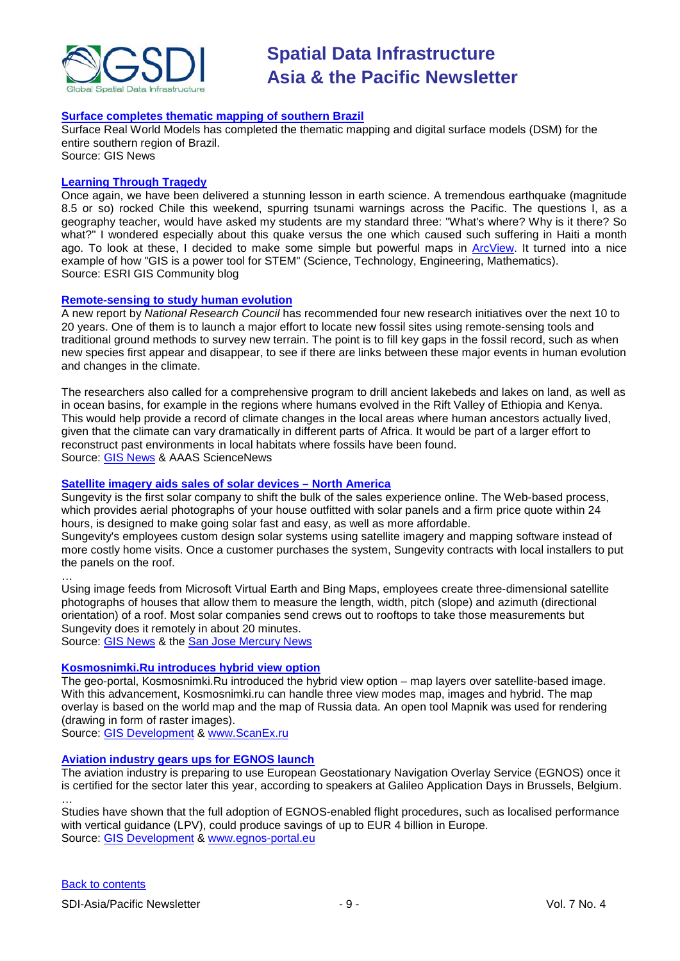

#### **[Surface completes thematic mapping of southern Brazil](http://www.gisdevelopment.net/news/viewn.asp?id=GIS:N_ulmrviybop&Ezine=mar0210§ion=News)**

Surface Real World Models has completed the thematic mapping and digital surface models (DSM) for the entire southern region of Brazil. Source: GIS News

#### **[Learning Through](http://blogs.esri.com/Info/blogs/gisedcom/archive/2010/03/01/fun-with-gis-39-learning-stem-thru-tragedy.aspx) Tragedy**

Once again, we have been delivered a stunning lesson in earth science. A tremendous earthquake (magnitude 8.5 or so) rocked Chile this weekend, spurring tsunami warnings across the Pacific. The questions I, as a geography teacher, would have asked my students are my standard three: "What's where? Why is it there? So what?" I wondered especially about this quake versus the one which caused such suffering in Haiti a month ago. To look at these, I decided to make some simple but powerful maps in [ArcView.](http://www.esri.com/arcview) It turned into a nice example of how "GIS is a power tool for STEM" (Science, Technology, Engineering, Mathematics). Source: ESRI GIS Community blog

#### **[Remote-sensing to study human evolution](http://news.sciencemag.org/scienceinsider/2010/03/researchers-seek-funding-to-study.html)**

A new report by *National Research Council* has recommended four new research initiatives over the next 10 to 20 years. One of them is to launch a major effort to locate new fossil sites using remote-sensing tools and traditional ground methods to survey new terrain. The point is to fill key gaps in the fossil record, such as when new species first appear and disappear, to see if there are links between these major events in human evolution and changes in the climate.

The researchers also called for a comprehensive program to drill ancient lakebeds and lakes on land, as well as in ocean basins, for example in the regions where humans evolved in the Rift Valley of Ethiopia and Kenya. This would help provide a record of climate changes in the local areas where human ancestors actually lived, given that the climate can vary dramatically in different parts of Africa. It would be part of a larger effort to reconstruct past environments in local habitats where fossils have been found. Source: [GIS News](http://www.gisdevelopment.net/news/viewn.asp?id=GIS:N_zovnpcrhds) & AAAS ScienceNews

#### **[Satellite imagery aids sales of solar devices –](http://www.mercurynews.com/search/ci_14634946?IADID=Search-www.mercurynews.com-www.mercurynews.com) North America**

Sungevity is the first solar company to shift the bulk of the sales experience online. The Web-based process, which provides aerial photographs of your house outfitted with solar panels and a firm price quote within 24 hours, is designed to make going solar fast and easy, as well as more affordable.

Sungevity's employees custom design solar systems using satellite imagery and mapping software instead of more costly home visits. Once a customer purchases the system, Sungevity contracts with local installers to put the panels on the roof.

… Using image feeds from Microsoft Virtual Earth and Bing Maps, employees create three-dimensional satellite photographs of houses that allow them to measure the length, width, pitch (slope) and azimuth (directional orientation) of a roof. Most solar companies send crews out to rooftops to take those measurements but Sungevity does it remotely in about 20 minutes.

Source: [GIS News](http://www.gisdevelopment.net/news/viewn.asp?id=GIS:N_enmaduprzy&Ezine=mar2210§ion=News) & the [San Jose Mercury News](http://www.mercurynews.com/search/ci_14066469?IADID=Search-www.mercurynews.com-www.mercurynews.com)

#### **[Kosmosnimki.Ru introduces hybrid view option](http://www.scanex.ru/en/news/News_Preview.asp?id=n1748870)**

The geo-portal, Kosmosnimki.Ru introduced the hybrid view option – map layers over satellite-based image. With this advancement, Kosmosnimki.ru can handle three view modes map, images and hybrid. The map overlay is based on the world map and the map of Russia data. An open tool Mapnik was used for rendering (drawing in form of raster images).

Source: [GIS Development](http://www.gisdevelopment.net/news/viewn.asp?id=GIS:N_jthdvbacio) & [www.ScanEx.ru](http://www.scanex.ru/)

#### **[Aviation industry gears ups for EGNOS launch](http://www.egnos-portal.eu/index.cfm?objectid=E0CFE90D-3680-11DF-93B6005056861A4B&type=dmNews)**

The aviation industry is preparing to use European Geostationary Navigation Overlay Service (EGNOS) once it is certified for the sector later this year, according to speakers at Galileo Application Days in Brussels, Belgium.

Studies have shown that the full adoption of EGNOS-enabled flight procedures, such as localised performance with vertical guidance (LPV), could produce savings of up to EUR 4 billion in Europe. Source: [GIS Development](http://www.gisdevelopment.net/news/viewn.asp?id=GIS:N_pzbojucsyd) & [www.egnos-portal.eu](http://www.egnos-portal.eu/)

…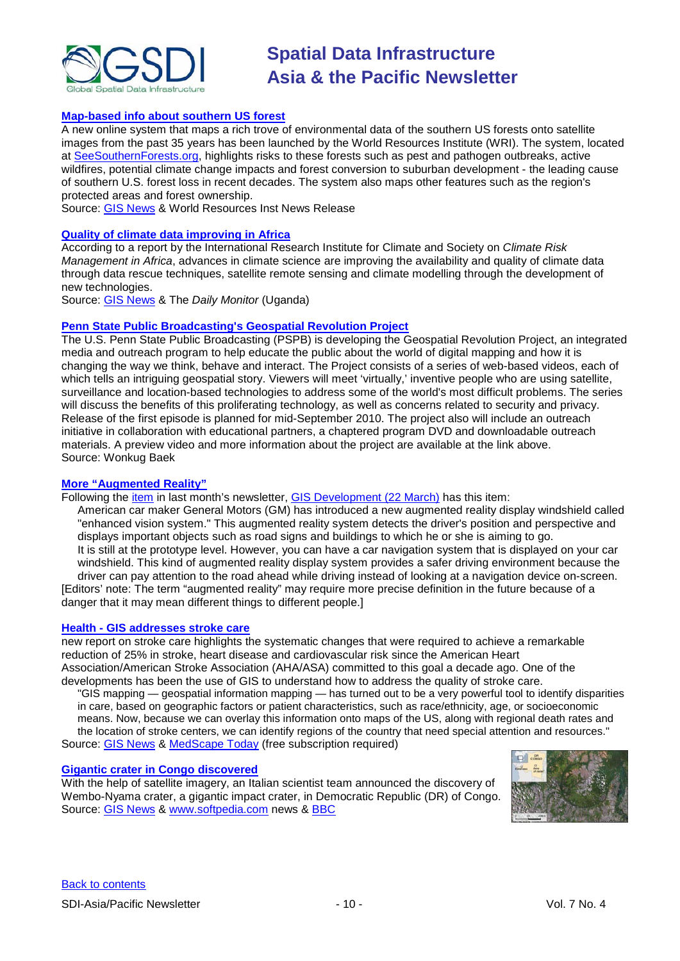

#### **[Map-based info about southern US forest](http://www.wri.org/press/2010/03/news-release-risks-southern-us-forests-highlighted-new-online-mapping-system)**

A new online system that maps a rich trove of environmental data of the southern US forests onto satellite images from the past 35 years has been launched by the World Resources Institute (WRI). The system, located at [SeeSouthernForests.org,](http://www.seesouthernforests.org/) highlights risks to these forests such as pest and pathogen outbreaks, active wildfires, potential climate change impacts and forest conversion to suburban development - the leading cause of southern U.S. forest loss in recent decades. The system also maps other features such as the region's protected areas and forest ownership.

Source: [GIS News](http://www.gisdevelopment.net/news/viewn.asp?id=GIS:N_emrqtslfih) & World Resources Inst News Release

#### **[Quality of climate data improving in Africa](http://www.monitor.co.ug/OpEd/Commentary/-/689364/873306/-/ahnej4z/-/)**

According to a report by the International Research Institute for Climate and Society on *Climate Risk Management in Africa*, advances in climate science are improving the availability and quality of climate data through data rescue techniques, satellite remote sensing and climate modelling through the development of new technologies.

Source: [GIS News](http://www.gisdevelopment.net/news/viewn.asp?id=GIS:N_eydvfcbhka) & The *Daily Monitor* (Uganda)

#### **[Penn State Public Broadcasting's Geospatial Revolution Project](http://geospatialrevolution.psu.edu/)**

The U.S. Penn State Public Broadcasting (PSPB) is developing the Geospatial Revolution Project, an integrated media and outreach program to help educate the public about the world of digital mapping and how it is changing the way we think, behave and interact. The Project consists of a series of web-based videos, each of which tells an intriguing geospatial story. Viewers will meet 'virtually,' inventive people who are using satellite, surveillance and location-based technologies to address some of the world's most difficult problems. The series will discuss the benefits of this proliferating technology, as well as concerns related to security and privacy. Release of the first episode is planned for mid-September 2010. The project also will include an outreach initiative in collaboration with educational partners, a chaptered program DVD and downloadable outreach materials. A preview video and more information about the project are available at the link above. Source: Wonkug Baek

#### **[More "Augmented Reality"](http://gisplusar.blogspot.com/2010/03/enhanced-vision-system-gm-augmented.html)**

Following the [item](http://www.ted.com/talks/blaise_aguera.html) in last month's newsletter, [GIS Development \(22 March\)](http://www.gisdevelopment.net/ezine/weekly/mar2210.htm) has this item:

American car maker General Motors (GM) has introduced a new augmented reality display windshield called "enhanced vision system." This augmented reality system detects the driver's position and perspective and displays important objects such as road signs and buildings to which he or she is aiming to go. It is still at the prototype level. However, you can have a car navigation system that is displayed on your car windshield. This kind of augmented reality display system provides a safer driving environment because the driver can pay attention to the road ahead while driving instead of looking at a navigation device on-screen. [Editors' note: The term "augmented reality" may require more precise definition in the future because of a danger that it may mean different things to different people.]

#### **Health - [GIS addresses stroke care](http://www.medscape.com/viewarticle/717929)**

new report on stroke care highlights the systematic changes that were required to achieve a remarkable reduction of 25% in stroke, heart disease and cardiovascular risk since the American Heart Association/American Stroke Association (AHA/ASA) committed to this goal a decade ago. One of the developments has been the use of GIS to understand how to address the quality of stroke care.

"GIS mapping — geospatial information mapping — has turned out to be a very powerful tool to identify disparities in care, based on geographic factors or patient characteristics, such as race/ethnicity, age, or socioeconomic means. Now, because we can overlay this information onto maps of the US, along with regional death rates and the location of stroke centers, we can identify regions of the country that need special attention and resources." Source: [GIS News](http://www.gisdevelopment.net/news/viewn.asp?id=GIS:N_kqlcrehxbu&Ezine=mar1510§ion=News) & [MedScape Today](http://www.medscape.com/) (free subscription required)

#### **[Gigantic crater in Congo discovered](http://news.softpedia.com/news/New-Massive-Crater-Possibly-Discovered-137047.shtml)**

With the help of satellite imagery, an Italian scientist team announced the discovery of Wembo-Nyama crater, a gigantic impact crater, in Democratic Republic (DR) of Congo. Source: [GIS News](http://www.gisdevelopment.net/news/viewn.asp?id=GIS:N_saobcpyhrv&Ezine=mar1510§ion=News) & [www.softpedia.com](http://www.softpedia.com/) news & [BBC](http://news.bbc.co.uk/2/low/science/nature/8526093.stm)

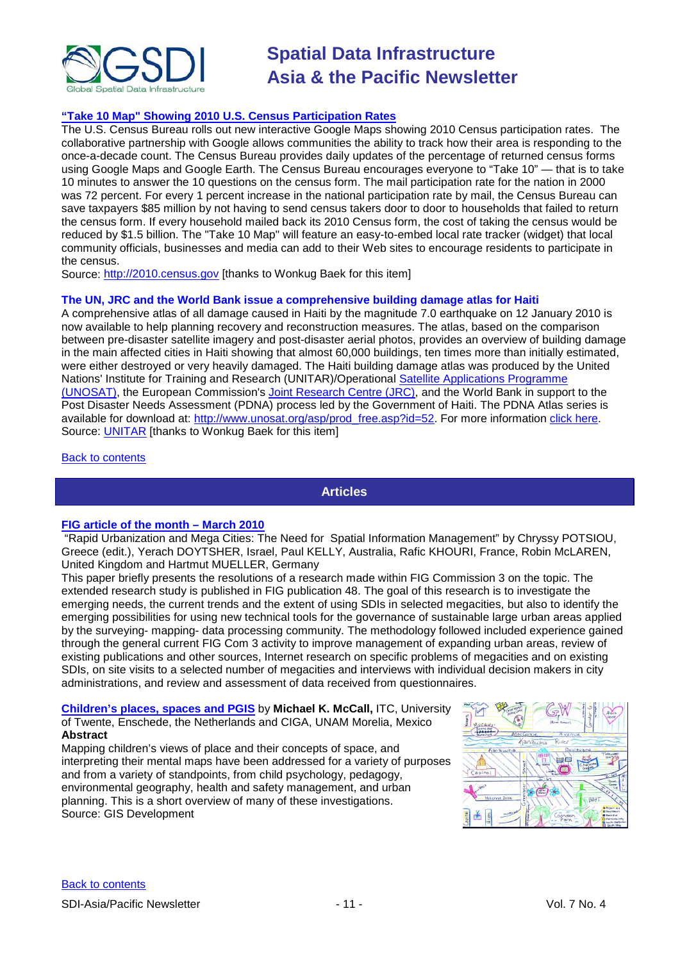

#### **"Take 10 Map" Showing 2010 [U.S. Census Participation Rates](http://2010.census.gov/2010census/take10map/)**

The U.S. Census Bureau rolls out new interactive Google Maps showing 2010 Census participation rates. The collaborative partnership with Google allows communities the ability to track how their area is responding to the once-a-decade count. The Census Bureau provides daily updates of the percentage of returned census forms using Google Maps and Google Earth. The Census Bureau encourages everyone to "Take 10" — that is to take 10 minutes to answer the 10 questions on the census form. The mail participation rate for the nation in 2000 was 72 percent. For every 1 percent increase in the national participation rate by mail, the Census Bureau can save taxpayers \$85 million by not having to send census takers door to door to households that failed to return the census form. If every household mailed back its 2010 Census form, the cost of taking the census would be reduced by \$1.5 billion. The "Take 10 Map" will feature an easy-to-embed local rate tracker (widget) that local community officials, businesses and media can add to their Web sites to encourage residents to participate in the census.

Source: [http://2010.census.gov](http://2010.census.gov/) [thanks to Wonkug Baek for this item]

#### **The UN, JRC and the World Bank issue a comprehensive building damage atlas for Haiti**

A comprehensive atlas of all damage caused in Haiti by the magnitude 7.0 earthquake on 12 January 2010 is now available to help planning recovery and reconstruction measures. The atlas, based on the comparison between pre-disaster satellite imagery and post-disaster aerial photos, provides an overview of building damage in the main affected cities in Haiti showing that almost 60,000 buildings, ten times more than initially estimated, were either destroyed or very heavily damaged. The Haiti building damage atlas was produced by the United Nations' Institute for Training and Research (UNITAR)/Operational Satellite Applications Programme [\(UNOSAT\),](http://www.unitar.org/unosat/) the European Commission's [Joint Research Centre \(JRC\),](http://ec.europa.eu/dgs/jrc/index.cfm) and the World Bank in support to the Post Disaster Needs Assessment (PDNA) process led by the Government of Haiti. The PDNA Atlas series is available for download at: [http://www.unosat.org/asp/prod\\_free.asp?id=52.](http://www.unosat.org/asp/prod_free.asp?id=52) For more information [click here.](http://www.unitar.org/pdna_unosat) Source: [UNITAR](http://www.unitar.org/) [thanks to Wonkug Baek for this item]

<span id="page-10-0"></span>[Back to contents](#page-0-0)

### **Articles**

#### **[FIG article of the month –](http://www.fig.net/pub/monthly_articles/march_2010/march_2010_potsiou_etal.html) March 2010**

"Rapid Urbanization and Mega Cities: The Need for Spatial Information Management" by Chryssy POTSIOU, Greece (edit.), Yerach DOYTSHER, Israel, Paul KELLY, Australia, Rafic KHOURI, France, Robin McLAREN, United Kingdom and Hartmut MUELLER, Germany

This paper briefly presents the resolutions of a research made within FIG Commission 3 on the topic. The extended research study is published in FIG publication 48. The goal of this research is to investigate the emerging needs, the current trends and the extent of using SDIs in selected megacities, but also to identify the emerging possibilities for using new technical tools for the governance of sustainable large urban areas applied by the surveying- mapping- data processing community. The methodology followed included experience gained through the general current FIG Com 3 activity to improve management of expanding urban areas, review of existing publications and other sources, Internet research on specific problems of megacities and on existing SDIs, on site visits to a selected number of megacities and interviews with individual decision makers in city administrations, and review and assessment of data received from questionnaires.

**[Children's places, spaces and PGIS](http://www.gisdevelopment.net/technology/emerging/Childrens-places-spaces-and-PGIS_Michael.htm)** by **Michael K. McCall,** ITC, University of Twente, Enschede, the Netherlands and CIGA, UNAM Morelia, Mexico **Abstract**

Mapping children's views of place and their concepts of space, and interpreting their mental maps have been addressed for a variety of purposes and from a variety of standpoints, from child psychology, pedagogy, environmental geography, health and safety management, and urban planning. This is a short overview of many of these investigations. Source: GIS Development

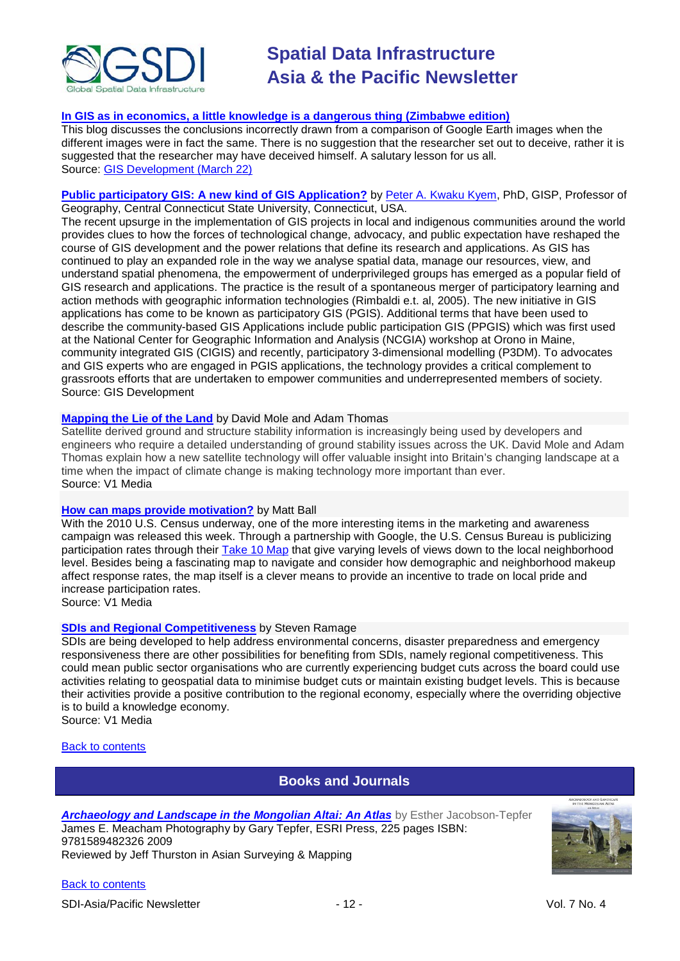

#### **[In GIS as in economics, a little knowledge is a dangerous thing \(Zimbabwe edition\)](http://www.ogleearth.com/2010/03/in_gis_as_in_ec.html)**

This blog discusses the conclusions incorrectly drawn from a comparison of Google Earth images when the different images were in fact the same. There is no suggestion that the researcher set out to deceive, rather it is suggested that the researcher may have deceived himself. A salutary lesson for us all. Source: [GIS Development \(March 22\)](http://www.gisdevelopment.net/ezine/weekly/mar2210.htm)

#### **[Public participatory GIS: A new kind of GIS Application?](http://www.gisdevelopment.net/technology/emerging/Public-participatory-GIS-A-new-kind-of-GIS-Application.htm)** by [Peter A. Kwaku Kyem,](mailto:kyemp@mail.ccsu.edu) PhD, GISP, Professor of Geography, Central Connecticut State University, Connecticut, USA.

The recent upsurge in the implementation of GIS projects in local and indigenous communities around the world provides clues to how the forces of technological change, advocacy, and public expectation have reshaped the course of GIS development and the power relations that define its research and applications. As GIS has continued to play an expanded role in the way we analyse spatial data, manage our resources, view, and understand spatial phenomena, the empowerment of underprivileged groups has emerged as a popular field of GIS research and applications. The practice is the result of a spontaneous merger of participatory learning and action methods with geographic information technologies (Rimbaldi e.t. al, 2005). The new initiative in GIS applications has come to be known as participatory GIS (PGIS). Additional terms that have been used to describe the community-based GIS Applications include public participation GIS (PPGIS) which was first used at the National Center for Geographic Information and Analysis (NCGIA) workshop at Orono in Maine, community integrated GIS (CIGIS) and recently, participatory 3-dimensional modelling (P3DM). To advocates and GIS experts who are engaged in PGIS applications, the technology provides a critical complement to grassroots efforts that are undertaken to empower communities and underrepresented members of society. Source: GIS Development

#### **[Mapping the Lie of the Land](http://www.vector1media.com/articles/features/12138-mapping-the-lie-of-the-land)** by David Mole and Adam Thomas

Satellite derived ground and structure stability information is increasingly being used by developers and engineers who require a detailed understanding of ground stability issues across the UK. David Mole and Adam Thomas explain how a new satellite technology will offer valuable insight into Britain's changing landscape at a time when the impact of climate change is making technology more important than ever. Source: V1 Media

#### **[How can maps provide motivation?](http://vector1media.com/dialogue/perspectives/12222-how-can-maps-provide-motivation)** by Matt Ball

With the 2010 U.S. Census underway, one of the more interesting items in the marketing and awareness campaign was released this week. Through a partnership with Google, the U.S. Census Bureau is publicizing participation rates through their [Take 10 Map](http://2010.census.gov/2010census/take10map/) that give varying levels of views down to the local neighborhood level. Besides being a fascinating map to navigate and consider how demographic and neighborhood makeup affect response rates, the map itself is a clever means to provide an incentive to trade on local pride and increase participation rates.

Source: V1 Media

#### **[SDIs and Regional Competitiveness](http://www.vector1media.com/articles/columns/11487-sdis-and-regional-competitiveness)** by Steven Ramage

SDIs are being developed to help address environmental concerns, disaster preparedness and emergency responsiveness there are other possibilities for benefiting from SDIs, namely regional competitiveness. This could mean public sector organisations who are currently experiencing budget cuts across the board could use activities relating to geospatial data to minimise budget cuts or maintain existing budget levels. This is because their activities provide a positive contribution to the regional economy, especially where the overriding objective is to build a knowledge economy. Source: V1 Media

<span id="page-11-0"></span>[Back to contents](#page-0-0)

### **Books and Journals**

*Archaeology and [Landscape in the Mongolian](http://asmmag.com/news/book-review-archaeology-and-landscape-in-the-mongolian-altai) Altai: An Atlas* by Esther Jacobson-Tepfer

James E. Meacham Photography by Gary Tepfer, ESRI Press, 225 pages ISBN: 9781589482326 2009

Reviewed by Jeff Thurston in Asian Surveying & Mapping



[Back to contents](#page-0-0)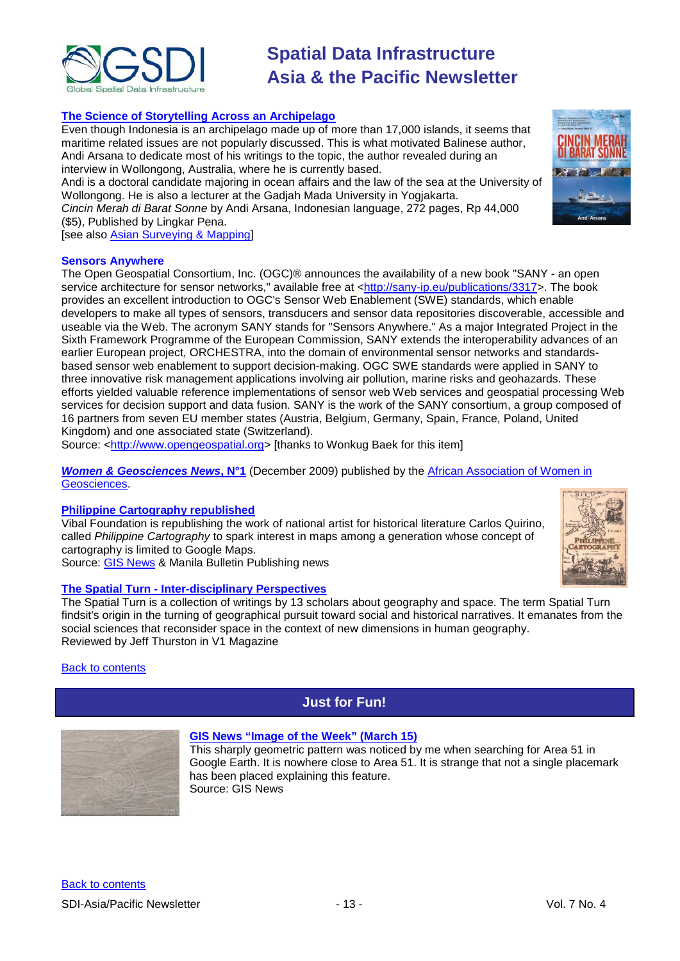

#### **[The Science of Storytelling Across an Archipelago](http://www.thejakartaglobe.com/lifeandtimes/the-science-of-storytelling-across-an-archipelago/362664)**

Even though Indonesia is an archipelago made up of more than 17,000 islands, it seems that maritime related issues are not popularly discussed. This is what motivated Balinese author, Andi Arsana to dedicate most of his writings to the topic, the author revealed during an interview in Wollongong, Australia, where he is currently based.

Andi is a doctoral candidate majoring in ocean affairs and the law of the sea at the University of Wollongong. He is also a lecturer at the Gadjah Mada University in Yogjakarta.

*Cincin Merah di Barat Sonne* by Andi Arsana, Indonesian language, 272 pages, Rp 44,000 (\$5), Published by Lingkar Pena.

[see also [Asian Surveying & Mapping\]](http://asmmag.com/features/a-geospatial-novel-why-not-)

#### **Sensors Anywhere**

The Open Geospatial Consortium, Inc. (OGC)® announces the availability of a new book "SANY - an open service architecture for sensor networks," available free at [<http://sany-ip.eu/publications/3317>](http://sany-ip.eu/publications/3317). The book provides an excellent introduction to OGC's Sensor Web Enablement (SWE) standards, which enable developers to make all types of sensors, transducers and sensor data repositories discoverable, accessible and useable via the Web. The acronym SANY stands for "Sensors Anywhere." As a major Integrated Project in the Sixth Framework Programme of the European Commission, SANY extends the interoperability advances of an earlier European project, ORCHESTRA, into the domain of environmental sensor networks and standardsbased sensor web enablement to support decision-making. OGC SWE standards were applied in SANY to three innovative risk management applications involving air pollution, marine risks and geohazards. These efforts yielded valuable reference implementations of sensor web Web services and geospatial processing Web services for decision support and data fusion. SANY is the work of the SANY consortium, a group composed of 16 partners from seven EU member states (Austria, Belgium, Germany, Spain, France, Poland, United Kingdom) and one associated state (Switzerland).

Source: [<http://www.opengeospatial.org>](http://www.opengeospatial.org/) [thanks to Wonkug Baek for this item]

*[Women & Geosciences News](http://www.aawg.org/AAWG/IMG/pdf/Women_Geosciences_News_No1.pdf)***, N°1** (December 2009) published by the [African Association of Women in](http://www.aawg.org/)  [Geosciences.](http://www.aawg.org/)

#### **[Philippine Cartography republished](http://www.mb.com.ph/articles/249692/mapping-out-history)**

Vibal Foundation is republishing the work of national artist for historical literature Carlos Quirino, called *Philippine Cartography* to spark interest in maps among a generation whose concept of cartography is limited to Google Maps. Source: [GIS News](http://www.gisdevelopment.net/news/viewn.asp?id=GIS:N_owxjhevnay) & Manila Bulletin Publishing news



#### **The Spatial Turn - [Inter-disciplinary Perspectives](http://www.vector1media.com/articles/reviews/11977-the-spatial-turn-inter-disciplinary-perspectives)**

The Spatial Turn is a collection of writings by 13 scholars about geography and space. The term Spatial Turn findsit's origin in the turning of geographical pursuit toward social and historical narratives. It emanates from the social sciences that reconsider space in the context of new dimensions in human geography. Reviewed by Jeff Thurston in V1 Magazine

#### <span id="page-12-0"></span>**[Back to contents](#page-0-0)**

### **Just for Fun!**



### **[GIS News "Image of the Week" \(March 15\)](http://www.gisdevelopment.net/ezine/weekly/imgoftheweekmar1510.htm)**

This sharply geometric pattern was noticed by me when searching for Area 51 in Google Earth. It is nowhere close to Area 51. It is strange that not a single placemark has been placed explaining this feature. Source: GIS News

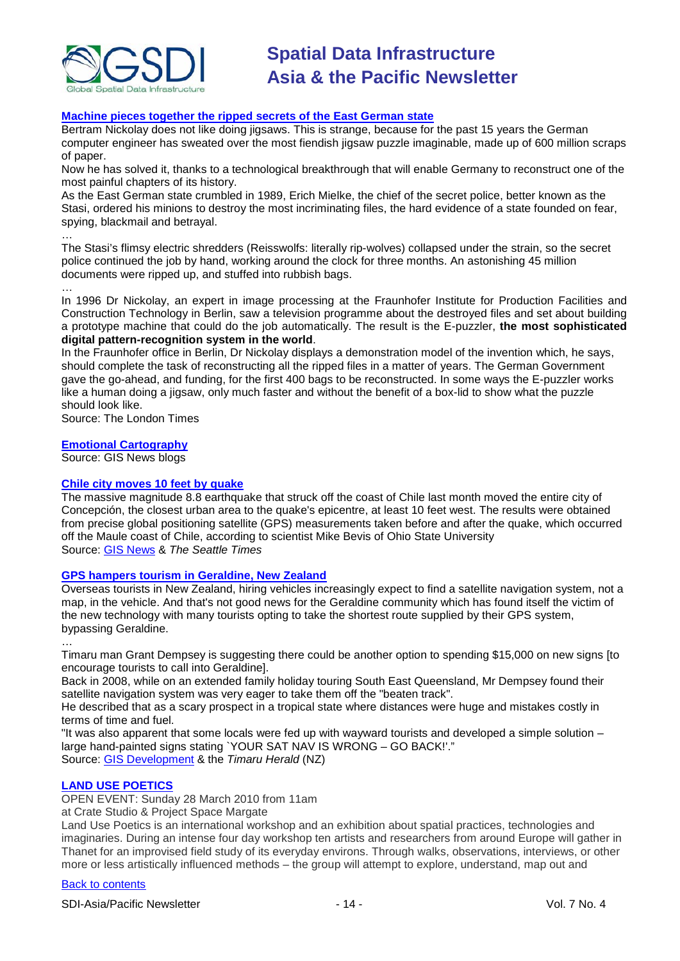

### **[Machine pieces together the ripped secrets of the East German state](http://www.timesonline.co.uk/tol/news/world/europe/article7070484.ece)**

Bertram Nickolay does not like doing jigsaws. This is strange, because for the past 15 years the German computer engineer has sweated over the most fiendish jigsaw puzzle imaginable, made up of 600 million scraps of paper.

Now he has solved it, thanks to a technological breakthrough that will enable Germany to reconstruct one of the most painful chapters of its history.

As the East German state crumbled in 1989, Erich Mielke, the chief of the secret police, better known as the Stasi, ordered his minions to destroy the most incriminating files, the hard evidence of a state founded on fear, spying, blackmail and betrayal.

… The Stasi's flimsy electric shredders (Reisswolfs: literally rip-wolves) collapsed under the strain, so the secret police continued the job by hand, working around the clock for three months. An astonishing 45 million documents were ripped up, and stuffed into rubbish bags.

…

In 1996 Dr Nickolay, an expert in image processing at the Fraunhofer Institute for Production Facilities and Construction Technology in Berlin, saw a television programme about the destroyed files and set about building a prototype machine that could do the job automatically. The result is the E-puzzler, **the most sophisticated digital pattern-recognition system in the world**.

In the Fraunhofer office in Berlin, Dr Nickolay displays a demonstration model of the invention which, he says, should complete the task of reconstructing all the ripped files in a matter of years. The German Government gave the go-ahead, and funding, for the first 400 bags to be reconstructed. In some ways the E-puzzler works like a human doing a jigsaw, only much faster and without the benefit of a box-lid to show what the puzzle should look like.

Source: The London Times

#### **[Emotional Cartography](http://blog.susagroup.com/2010/03/10/emotional-or-arousal-cartography/)**

Source: GIS News blogs

#### **[Chile city moves 10 feet by quake](http://seattletimes.nwsource.com/html/nationworld/2011292120_quake09.html)**

The massive magnitude 8.8 earthquake that struck off the coast of Chile last month moved the entire city of Concepción, the closest urban area to the quake's epicentre, at least 10 feet west. The results were obtained from precise global positioning satellite (GPS) measurements taken before and after the quake, which occurred off the Maule coast of Chile, according to scientist Mike Bevis of Ohio State University Source: [GIS News](http://www.gisdevelopment.net/news/viewn.asp?id=GIS:N_aidzgxsrlw&Ezine=mar1510§ion=News) & *The Seattle Times*

#### **[GPS hampers tourism in Geraldine, New Zealand](http://www.stuff.co.nz/timaru-herald/news/3509311/Tourists-expect-GPS-not-maps)**

Overseas tourists in New Zealand, hiring vehicles increasingly expect to find a satellite navigation system, not a map, in the vehicle. And that's not good news for the Geraldine community which has found itself the victim of the new technology with many tourists opting to take the shortest route supplied by their GPS system, bypassing Geraldine.

…

Timaru man Grant Dempsey is suggesting there could be another option to spending \$15,000 on new signs [to encourage tourists to call into Geraldine].

Back in 2008, while on an extended family holiday touring South East Queensland, Mr Dempsey found their satellite navigation system was very eager to take them off the "beaten track".

He described that as a scary prospect in a tropical state where distances were huge and mistakes costly in terms of time and fuel.

"It was also apparent that some locals were fed up with wayward tourists and developed a simple solution – large hand-painted signs stating `YOUR SAT NAV IS WRONG – GO BACK!'." Source: [GIS Development](http://www.gisdevelopment.net/news/viewn.asp?id=GIS:N_qimthruwdv) & the *Timaru Herald* (NZ)

**[LAND USE POETICS](http://thanetpress.blogspot.com/2010/03/land-use-poetics.html)**

OPEN EVENT: Sunday 28 March 2010 from 11am

at Crate Studio & Project Space Margate

Land Use Poetics is an international workshop and an exhibition about spatial practices, technologies and imaginaries. During an intense four day workshop ten artists and researchers from around Europe will gather in Thanet for an improvised field study of its everyday environs. Through walks, observations, interviews, or other more or less artistically influenced methods – the group will attempt to explore, understand, map out and

#### [Back to contents](#page-0-0)

SDI-Asia/Pacific Newsletter  $\sim$  14 - 14 - Vol. 7 No. 4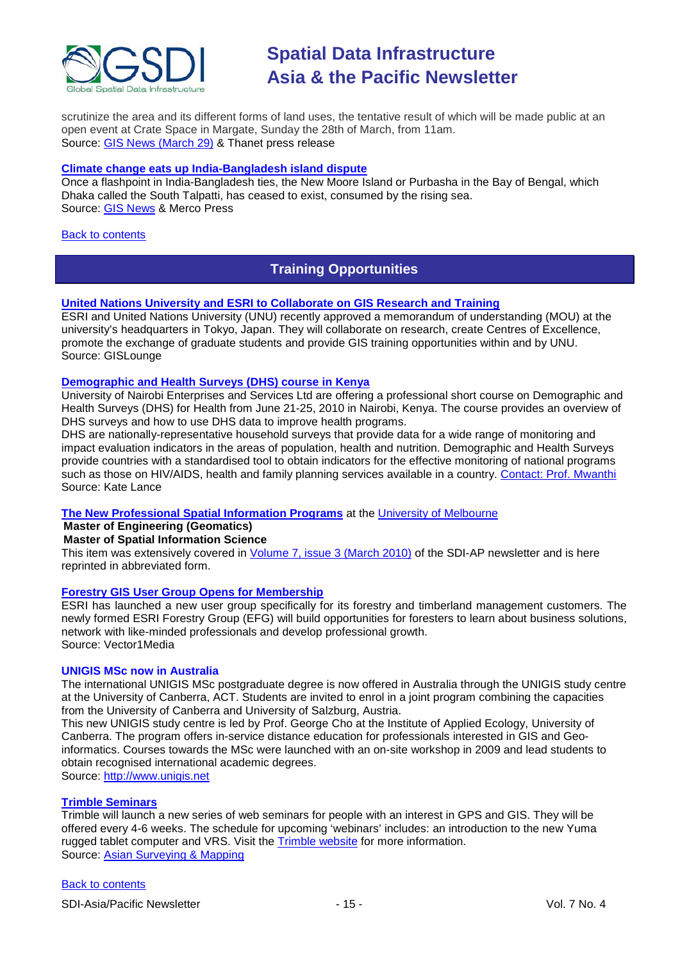

scrutinize the area and its different forms of land uses, the tentative result of which will be made public at an open event at Crate Space in Margate, Sunday the 28th of March, from 11am. Source: [GIS News \(March 29\)](http://www.gisdevelopment.net/ezine/weekly/mar2910.htm) & Thanet press release

#### **[Climate change eats up India-Bangladesh island dispute](http://en.mercopress.com/2010/03/24/climate-change-puts-an-end-to-india-bangladesh-island-dispute)**

Once a flashpoint in India-Bangladesh ties, the New Moore Island or Purbasha in the Bay of Bengal, which Dhaka called the South Talpatti, has ceased to exist, consumed by the rising sea. Source: [GIS News](http://www.gisdevelopment.net/news/viewn.asp?id=GIS:N_fvlrwgibqu) & Merco Press

#### <span id="page-14-0"></span>[Back to contents](#page-0-0)

### **Training Opportunities**

#### **[United Nations University and ESRI to Collaborate on GIS Research and Training](http://news.gislounge.com/2010/02/united-nations-university-and-esri-to-collaborate-on-gis-research-and-training/?utm_source=feedburner&utm_medium=feed&utm_campaign=Feed%3A+GeospatialPressReleases+%28Geospatial+Press+Releases%29)**

ESRI and United Nations University (UNU) recently approved a memorandum of understanding (MOU) at the university's headquarters in Tokyo, Japan. They will collaborate on research, create Centres of Excellence, promote the exchange of graduate students and provide GIS training opportunities within and by UNU. Source: GISLounge

#### **[Demographic and Health Surveys \(DHS\) course in Kenya](http://www.measuredhs.com/wn1/reports/Demographic%20health%20surveys_final%20flyer.pdf)**

University of Nairobi Enterprises and Services Ltd are offering a professional short course on Demographic and Health Surveys (DHS) for Health from June 21-25, 2010 in Nairobi, Kenya. The course provides an overview of DHS surveys and how to use DHS data to improve health programs.

DHS are nationally-representative household surveys that provide data for a wide range of monitoring and impact evaluation indicators in the areas of population, health and nutrition. Demographic and Health Surveys provide countries with a standardised tool to obtain indicators for the effective monitoring of national programs such as those on HIV/AIDS, health and family planning services available in a country. [Contact: Prof. Mwanthi](mailto:mmwanthi@uonbi.ac.ke) Source: Kate Lance

#### **[The New Professional Spatial Information Programs](http://www.geom.unimelb.edu.au/future/masters.html)** at the [University of Melbourne](http://www.unimelb.edu.au/)

**Master of Engineering (Geomatics)**

#### **Master of Spatial Information Science**

This item was extensively covered in [Volume 7, issue 3 \(March 2010\)](http://portal.gsdi.org/files/?artifact_id=688) of the SDI-AP newsletter and is here reprinted in abbreviated form.

#### **[Forestry GIS User Group Opens for Membership](http://www.vector1media.com/news/top-stories/53-corporate-news/8187-forestry-gis-user-group-opens-for-membership)**

ESRI has launched a new user group specifically for its forestry and timberland management customers. The newly formed ESRI Forestry Group (EFG) will build opportunities for foresters to learn about business solutions, network with like-minded professionals and develop professional growth. Source: Vector1Media

#### **UNIGIS MSc now in Australia**

The international UNIGIS MSc postgraduate degree is now offered in Australia through the UNIGIS study centre at the University of Canberra, ACT. Students are invited to enrol in a joint program combining the capacities from the University of Canberra and University of Salzburg, Austria.

This new UNIGIS study centre is led by Prof. George Cho at the Institute of Applied Ecology, University of Canberra. The program offers in-service distance education for professionals interested in GIS and Geoinformatics. Courses towards the MSc were launched with an on-site workshop in 2009 and lead students to obtain recognised international academic degrees.

Source: [http://www.unigis.net](http://www.unigis.net/)

#### **[Trimble Seminars](http://www.trimble.com/mgis/webinars.shtml)**

Trimble will launch a new series of web seminars for people with an interest in GPS and GIS. They will be offered every 4-6 weeks. The schedule for upcoming 'webinars' includes: an introduction to the new Yuma rugged tablet computer and VRS. Visit the **Trimble website** for more information. Source: [Asian Surveying & Mapping](http://www.asmmag.com/news)

#### [Back to contents](#page-0-0)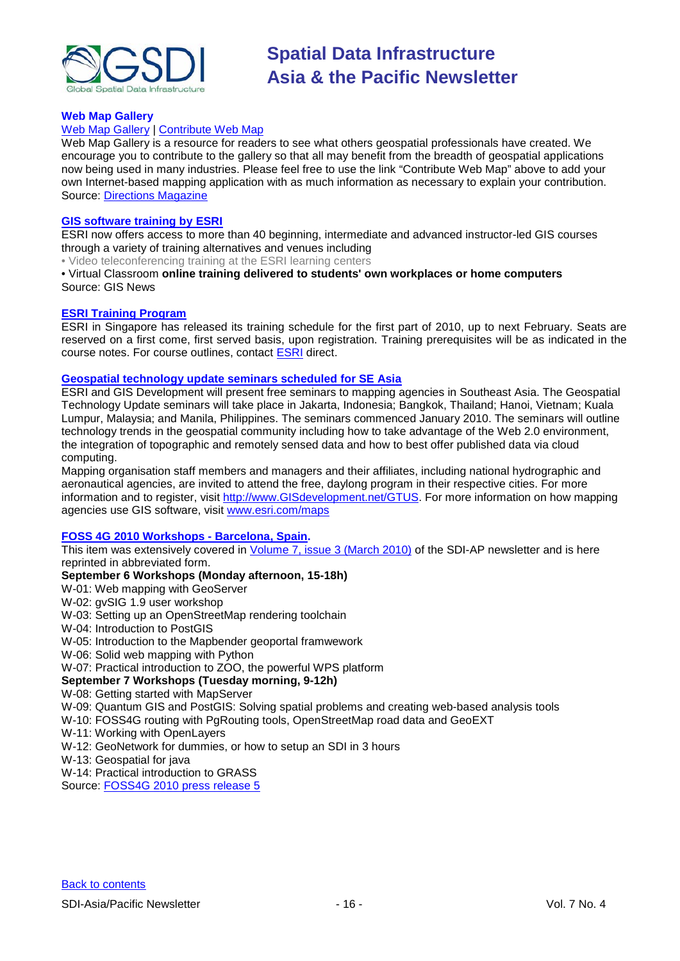

#### **Web Map Gallery**

#### [Web Map Gallery](http://www.directionsmag.com/webmapgallery/) | [Contribute Web Map](http://www.directionsmag.com/webmapgallery/?duty=Contribute)

Web Map Gallery is a resource for readers to see what others geospatial professionals have created. We encourage you to contribute to the gallery so that all may benefit from the breadth of geospatial applications now being used in many industries. Please feel free to use the link "Contribute Web Map" above to add your own Internet-based mapping application with as much information as necessary to explain your contribution. Source: [Directions Magazine](http://www.directionsmag.com/webmapgallery/)

#### **[GIS software training by ESRI](http://training.esri.com/gateway/index.cfm?fa=trainingOptions.gateway)**

ESRI now offers access to more than 40 beginning, intermediate and advanced instructor-led GIS courses through a variety of training alternatives and venues including

• Video teleconferencing training at the ESRI learning centers

• Virtual Classroom **online training delivered to students' own workplaces or home computers** Source: GIS News

#### **[ESRI Training Program](http://www.esrisingapore.com.sg/training.html)**

ESRI in Singapore has released its training schedule for the first part of 2010, up to next February. Seats are reserved on a first come, first served basis, upon registration. Training prerequisites will be as indicated in the course notes. For course outlines, contact [ESRI](mailto:training@esrisa.com) direct.

#### **[Geospatial technology update seminars scheduled for SE Asia](http://www.esri.com/news/releases/10_1qtr/geo-tech.html)**

ESRI and GIS Development will present free seminars to mapping agencies in Southeast Asia. The Geospatial Technology Update seminars will take place in Jakarta, Indonesia; Bangkok, Thailand; Hanoi, Vietnam; Kuala Lumpur, Malaysia; and Manila, Philippines. The seminars commenced January 2010. The seminars will outline technology trends in the geospatial community including how to take advantage of the Web 2.0 environment, the integration of topographic and remotely sensed data and how to best offer published data via cloud computing.

Mapping organisation staff members and managers and their affiliates, including national hydrographic and aeronautical agencies, are invited to attend the free, daylong program in their respective cities. For more information and to register, visit [http://www.GISdevelopment.net/GTUS.](http://www.gisdevelopment.net/GTUS) For more information on how mapping agencies use GIS software, visit [www.esri.com/maps](http://www.esri.com/maps)

#### **[FOSS 4G 2010 Workshops -](http://2010.foss4g.org/) Barcelona, Spain.**

This item was extensively covered in [Volume 7, issue 3 \(March 2010\)](http://portal.gsdi.org/files/?artifact_id=688) of the SDI-AP newsletter and is here reprinted in abbreviated form.

#### **September 6 Workshops (Monday afternoon, 15-18h)**

W-01: Web mapping with GeoServer

- W-02: gvSIG 1.9 user workshop
- W-03: Setting up an OpenStreetMap rendering toolchain
- W-04: Introduction to PostGIS
- W-05: Introduction to the Mapbender geoportal framwework
- W-06: Solid web mapping with Python
- W-07: Practical introduction to ZOO, the powerful WPS platform

### **September 7 Workshops (Tuesday morning, 9-12h)**

#### W-08: Getting started with MapServer

W-09: Quantum GIS and PostGIS: Solving spatial problems and creating web-based analysis tools

- W-10: FOSS4G routing with PgRouting tools, OpenStreetMap road data and GeoEXT
- W-11: Working with OpenLayers
- W-12: GeoNetwork for dummies, or how to setup an SDI in 3 hours
- W-13: Geospatial for java

W-14: Practical introduction to GRASS

Source: [FOSS4G 2010 press release 5](http://wiki.osgeo.org/wiki/FOSS4G_2010_Press_Release_5)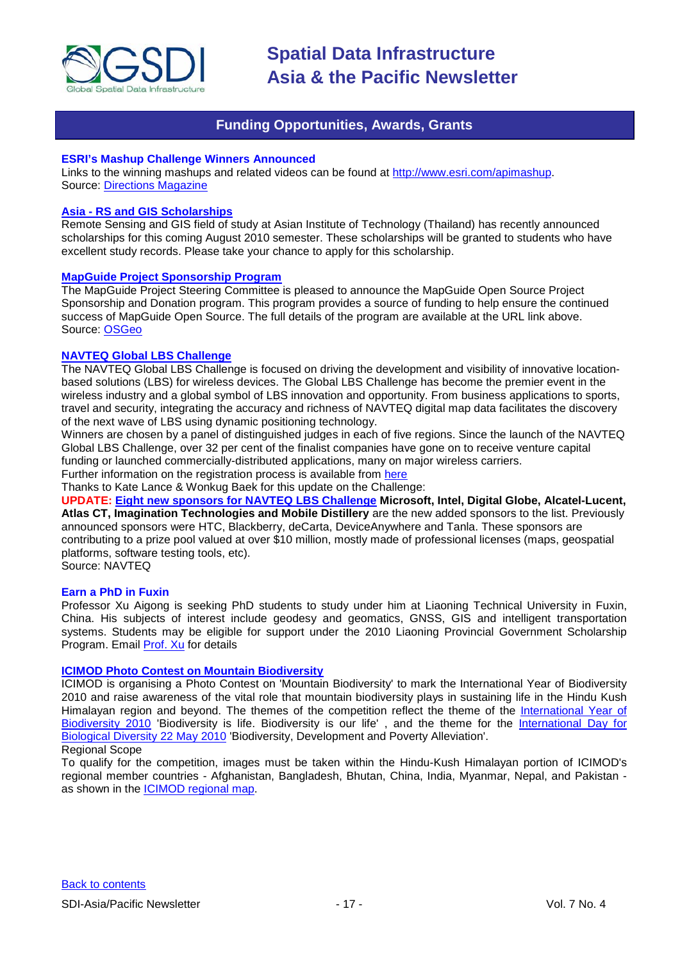

### **Funding Opportunities, Awards, Grants**

#### <span id="page-16-0"></span>**ESRI's Mashup Challenge Winners Announced**

Links to the winning mashups and related videos can be found at [http://www.esri.com/apimashup.](http://www.esri.com/software/mapping_for_everyone/api/mashup.html) Source: [Directions Magazine](http://www.directionsmag.com/press.releases/?duty=Show&id=45995)

#### **Asia - [RS and GIS Scholarships](http://www.ait.ac.th/AIT/admissions/Current_Scholarships)**

Remote Sensing and GIS field of study at Asian Institute of Technology (Thailand) has recently announced scholarships for this coming August 2010 semester. These scholarships will be granted to students who have excellent study records. Please take your chance to apply for this scholarship.

#### **[MapGuide Project Sponsorship](http://mapguide.osgeo.org/sponsorship) Program**

The MapGuide Project Steering Committee is pleased to announce the MapGuide Open Source Project Sponsorship and Donation program. This program provides a source of funding to help ensure the continued success of MapGuide Open Source. The full details of the program are available at the URL link above. Source: [OSGeo](http://www.osgeo.org/node/978)

#### **[NAVTEQ Global LBS](http://developer.navteq.com/site/global/market/lbs_challenge/p_lbs_home.jsp) Challenge**

The NAVTEQ Global LBS Challenge is focused on driving the development and visibility of innovative locationbased solutions (LBS) for wireless devices. The Global LBS Challenge has become the premier event in the wireless industry and a global symbol of LBS innovation and opportunity. From business applications to sports, travel and security, integrating the accuracy and richness of NAVTEQ digital map data facilitates the discovery of the next wave of LBS using dynamic positioning technology.

Winners are chosen by a panel of distinguished judges in each of five regions. Since the launch of the NAVTEQ Global LBS Challenge, over 32 per cent of the finalist companies have gone on to receive venture capital funding or launched commercially-distributed applications, many on major wireless carriers.

Further information on the registration process is available from [here](http://developer.navteq.com/site/global/market/lbs_challenge/p_lbs_home.jsp)

Thanks to Kate Lance & Wonkug Baek for this update on the Challenge:

**UPDATE: [Eight new sponsors for NAVTEQ LBS Challenge](http://corporate.navteq.com/webapps/NewsUserServlet?action=NewsDetail&newsId=824&lang=en&englishonly=false) Microsoft, Intel, Digital Globe, Alcatel-Lucent, Atlas CT, Imagination Technologies and Mobile Distillery** are the new added sponsors to the list. Previously announced sponsors were HTC, Blackberry, deCarta, DeviceAnywhere and Tanla. These sponsors are contributing to a prize pool valued at over \$10 million, mostly made of professional licenses (maps, geospatial platforms, software testing tools, etc).

Source: NAVTEQ

#### **Earn a PhD in Fuxin**

Professor Xu Aigong is seeking PhD students to study under him at Liaoning Technical University in Fuxin, China. His subjects of interest include geodesy and geomatics, GNSS, GIS and intelligent transportation systems. Students may be eligible for support under the 2010 Liaoning Provincial Government Scholarship Program. Email [Prof. Xu](mailto:%22xu_ag@126.com%22) for details

#### **[ICIMOD Photo Contest on Mountain Biodiversity](http://www.icimod.org/photocontest/2010/page/about)**

ICIMOD is organising a Photo Contest on 'Mountain Biodiversity' to mark the International Year of Biodiversity 2010 and raise awareness of the vital role that mountain biodiversity plays in sustaining life in the Hindu Kush Himalayan region and beyond. The themes of the competition reflect the theme of the [International Year of](http://www.cbd.int/2010/welcome/)  [Biodiversity 2010](http://www.cbd.int/2010/welcome/) 'Biodiversity is life. Biodiversity is our life', and the theme for the International Day for [Biological Diversity 22 May 2010](http://www.cbd.int/idb/2010/) 'Biodiversity, Development and Poverty Alleviation'.

#### Regional Scope

To qualify for the competition, images must be taken within the Hindu-Kush Himalayan portion of ICIMOD's regional member countries - Afghanistan, Bangladesh, Bhutan, China, India, Myanmar, Nepal, and Pakistan as shown in the [ICIMOD regional map.](http://www.icimod.org/index.php?page=43)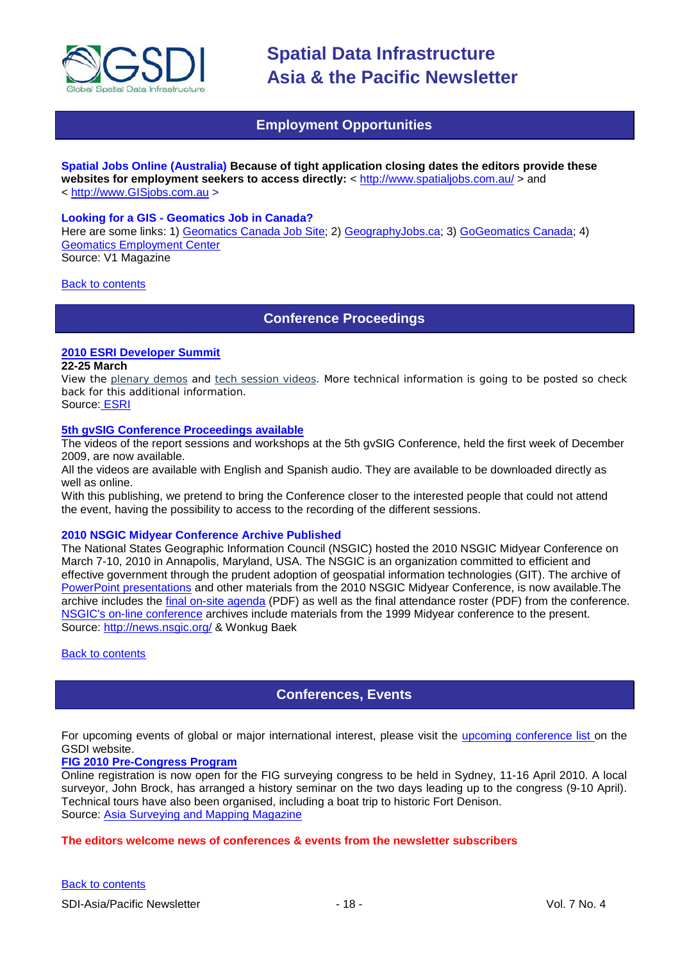

### **Employment Opportunities**

<span id="page-17-0"></span>**Spatial Jobs Online (Australia) Because of tight application closing dates the editors provide these websites for employment seekers to access directly:** <<http://www.spatialjobs.com.au/> > and < [http://www.GISjobs.com.au](http://www.gisjobs.com.au/) >

#### **Looking for a GIS - Geomatics Job in Canada?**

Here are some links: 1) [Geomatics Canada Job](http://geomaticscanada.com/jobs.cfm) Site; 2) [GeographyJobs.ca;](http://www.geographyjobs.ca/) 3) [GoGeomatics Canada;](http://canada.gogeomatics.net/frmHome.aspx) 4) [Geomatics Employment Center](http://gisjobs.ca/) Source: V1 Magazine

<span id="page-17-1"></span>[Back to contents](#page-0-0)

**Conference Proceedings**

#### **[2010 ESRI Developer Summit](http://www.esri.com/events/devsummit/index.html)**

#### **22-25 March**

View the [plenary demos](http://www.esri.com/events/devsummit/videos/index.html) and [tech session videos.](http://www.esri.com/events/devsummit/tech-session-videos/index.html) More technical information is going to be posted so check back for this additional information.

Source: [ESRI](http://www.esri.com/events/devsummit/index.html)

#### **[5th gvSIG Conference Proceedings available](http://jornadas.gvsig.org/comunicaciones/reports)**

The videos of the report sessions and workshops at the 5th gvSIG Conference, held the first week of December 2009, are now available.

All the videos are available with English and Spanish audio. They are available to be downloaded directly as well as online.

With this publishing, we pretend to bring the Conference closer to the interested people that could not attend the event, having the possibility to access to the recording of the different sessions.

#### **2010 NSGIC Midyear Conference Archive Published**

The National States Geographic Information Council (NSGIC) hosted the 2010 NSGIC Midyear Conference on March 7-10, 2010 in Annapolis, Maryland, USA. The NSGIC is an organization committed to efficient and effective government through the prudent adoption of geospatial information technologies (GIT). The archive of [PowerPoint presentations](http://www.nsgic.org/events/2010_midyear.cfm) and other materials from the 2010 NSGIC Midyear Conference, is now available.The archive includes the [final on-site agenda](http://www.nsgic.org/events/2010midyear/OnsiteAgenda.pdf) (PDF) as well as the final attendance roster (PDF) from the conference. [NSGIC's on-line conference](http://www.nsgic.org/events/archives.cfm) archives include materials from the 1999 Midyear conference to the present. Source:<http://news.nsgic.org/> & Wonkug Baek

<span id="page-17-2"></span>[Back to contents](#page-0-0)

### **Conferences, Events**

For upcoming events of global or major international interest, please visit the [upcoming conference list o](http://gsdi.org/events/upcnf.asp)n the GSDI website.

#### **[FIG 2010 Pre-Congress Program](http://www.asmmag.com/news/fig-2010-pre-congress-program)**

Online registration is now open for the FIG surveying congress to be held in Sydney, 11-16 April 2010. A local surveyor, John Brock, has arranged a history seminar on the two days leading up to the congress (9-10 April). Technical tours have also been organised, including a boat trip to historic Fort Denison. Source: [Asia Surveying and Mapping Magazine](http://www.asmmag.com/news/fig-2010-pre-congress-program)

#### **The editors welcome news of conferences & events from the newsletter subscribers**

[Back to contents](#page-0-0)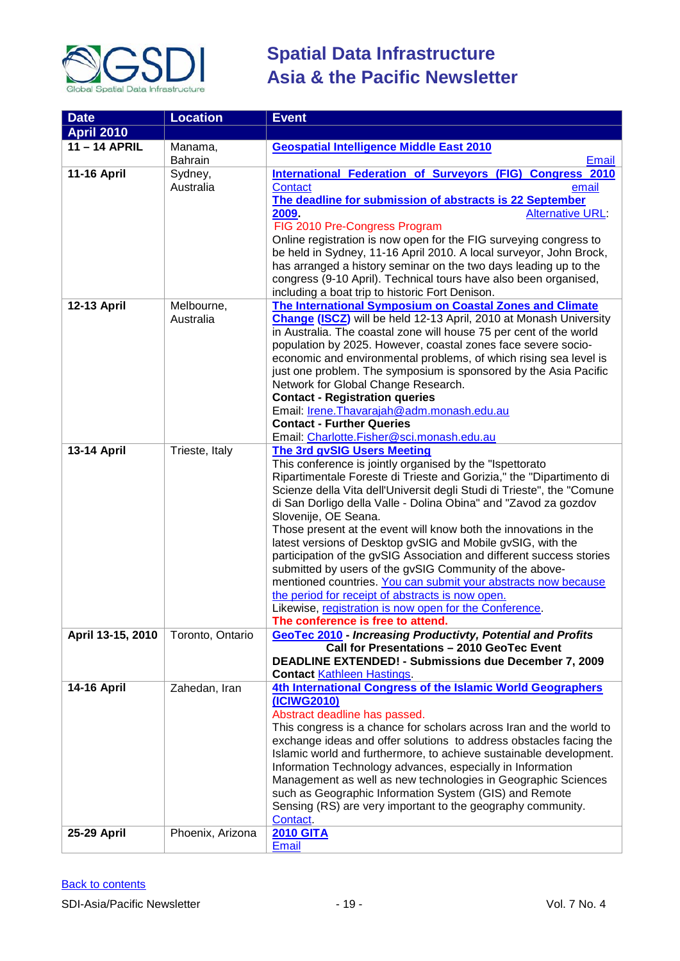

| <b>Date</b>        | <b>Location</b>      | <b>Event</b>                                                                                                                                                                                                                                                                                                                                                                                    |
|--------------------|----------------------|-------------------------------------------------------------------------------------------------------------------------------------------------------------------------------------------------------------------------------------------------------------------------------------------------------------------------------------------------------------------------------------------------|
| <b>April 2010</b>  |                      |                                                                                                                                                                                                                                                                                                                                                                                                 |
| $11 - 14$ APRIL    | Manama,              | <b>Geospatial Intelligence Middle East 2010</b>                                                                                                                                                                                                                                                                                                                                                 |
|                    | Bahrain              | <b>Email</b>                                                                                                                                                                                                                                                                                                                                                                                    |
| <b>11-16 April</b> | Sydney,<br>Australia | International Federation of Surveyors (FIG) Congress 2010<br>Contact<br>email                                                                                                                                                                                                                                                                                                                   |
|                    |                      | The deadline for submission of abstracts is 22 September<br><b>Alternative URL:</b><br>2009                                                                                                                                                                                                                                                                                                     |
|                    |                      | FIG 2010 Pre-Congress Program<br>Online registration is now open for the FIG surveying congress to                                                                                                                                                                                                                                                                                              |
|                    |                      | be held in Sydney, 11-16 April 2010. A local surveyor, John Brock,<br>has arranged a history seminar on the two days leading up to the                                                                                                                                                                                                                                                          |
|                    |                      | congress (9-10 April). Technical tours have also been organised,<br>including a boat trip to historic Fort Denison.                                                                                                                                                                                                                                                                             |
| 12-13 April        | Melbourne,           | The International Symposium on Coastal Zones and Climate                                                                                                                                                                                                                                                                                                                                        |
|                    | Australia            | <b>Change (ISCZ)</b> will be held 12-13 April, 2010 at Monash University<br>in Australia. The coastal zone will house 75 per cent of the world<br>population by 2025. However, coastal zones face severe socio-<br>economic and environmental problems, of which rising sea level is<br>just one problem. The symposium is sponsored by the Asia Pacific<br>Network for Global Change Research. |
|                    |                      | <b>Contact - Registration queries</b>                                                                                                                                                                                                                                                                                                                                                           |
|                    |                      | Email: Irene. Thavarajah@adm. monash.edu.au                                                                                                                                                                                                                                                                                                                                                     |
|                    |                      | <b>Contact - Further Queries</b>                                                                                                                                                                                                                                                                                                                                                                |
|                    |                      | Email: Charlotte.Fisher@sci.monash.edu.au                                                                                                                                                                                                                                                                                                                                                       |
| <b>13-14 April</b> | Trieste, Italy       | <b>The 3rd gvSIG Users Meeting</b>                                                                                                                                                                                                                                                                                                                                                              |
|                    |                      | This conference is jointly organised by the "Ispettorato                                                                                                                                                                                                                                                                                                                                        |
|                    |                      | Ripartimentale Foreste di Trieste and Gorizia," the "Dipartimento di                                                                                                                                                                                                                                                                                                                            |
|                    |                      | Scienze della Vita dell'Universit degli Studi di Trieste", the "Comune<br>di San Dorligo della Valle - Dolina Obina" and "Zavod za gozdov                                                                                                                                                                                                                                                       |
|                    |                      | Slovenije, OE Seana.<br>Those present at the event will know both the innovations in the                                                                                                                                                                                                                                                                                                        |
|                    |                      | latest versions of Desktop gvSIG and Mobile gvSIG, with the                                                                                                                                                                                                                                                                                                                                     |
|                    |                      | participation of the gvSIG Association and different success stories                                                                                                                                                                                                                                                                                                                            |
|                    |                      | submitted by users of the gvSIG Community of the above-                                                                                                                                                                                                                                                                                                                                         |
|                    |                      | mentioned countries. You can submit your abstracts now because                                                                                                                                                                                                                                                                                                                                  |
|                    |                      | the period for receipt of abstracts is now open.                                                                                                                                                                                                                                                                                                                                                |
|                    |                      | Likewise, registration is now open for the Conference.                                                                                                                                                                                                                                                                                                                                          |
|                    |                      | The conference is free to attend.                                                                                                                                                                                                                                                                                                                                                               |
| April 13-15, 2010  | Toronto, Ontario     | <b>GeoTec 2010 - Increasing Productivty, Potential and Profits</b><br>Call for Presentations - 2010 GeoTec Event                                                                                                                                                                                                                                                                                |
|                    |                      | DEADLINE EXTENDED! - Submissions due December 7, 2009                                                                                                                                                                                                                                                                                                                                           |
|                    |                      | <b>Contact Kathleen Hastings</b>                                                                                                                                                                                                                                                                                                                                                                |
| <b>14-16 April</b> | Zahedan, Iran        | 4th International Congress of the Islamic World Geographers                                                                                                                                                                                                                                                                                                                                     |
|                    |                      | (ICIWG2010)                                                                                                                                                                                                                                                                                                                                                                                     |
|                    |                      | Abstract deadline has passed.                                                                                                                                                                                                                                                                                                                                                                   |
|                    |                      | This congress is a chance for scholars across Iran and the world to                                                                                                                                                                                                                                                                                                                             |
|                    |                      | exchange ideas and offer solutions to address obstacles facing the                                                                                                                                                                                                                                                                                                                              |
|                    |                      | Islamic world and furthermore, to achieve sustainable development.                                                                                                                                                                                                                                                                                                                              |
|                    |                      | Information Technology advances, especially in Information<br>Management as well as new technologies in Geographic Sciences                                                                                                                                                                                                                                                                     |
|                    |                      | such as Geographic Information System (GIS) and Remote                                                                                                                                                                                                                                                                                                                                          |
|                    |                      | Sensing (RS) are very important to the geography community.                                                                                                                                                                                                                                                                                                                                     |
|                    |                      | Contact.                                                                                                                                                                                                                                                                                                                                                                                        |
| 25-29 April        | Phoenix, Arizona     | <b>2010 GITA</b>                                                                                                                                                                                                                                                                                                                                                                                |
|                    |                      | <b>Email</b>                                                                                                                                                                                                                                                                                                                                                                                    |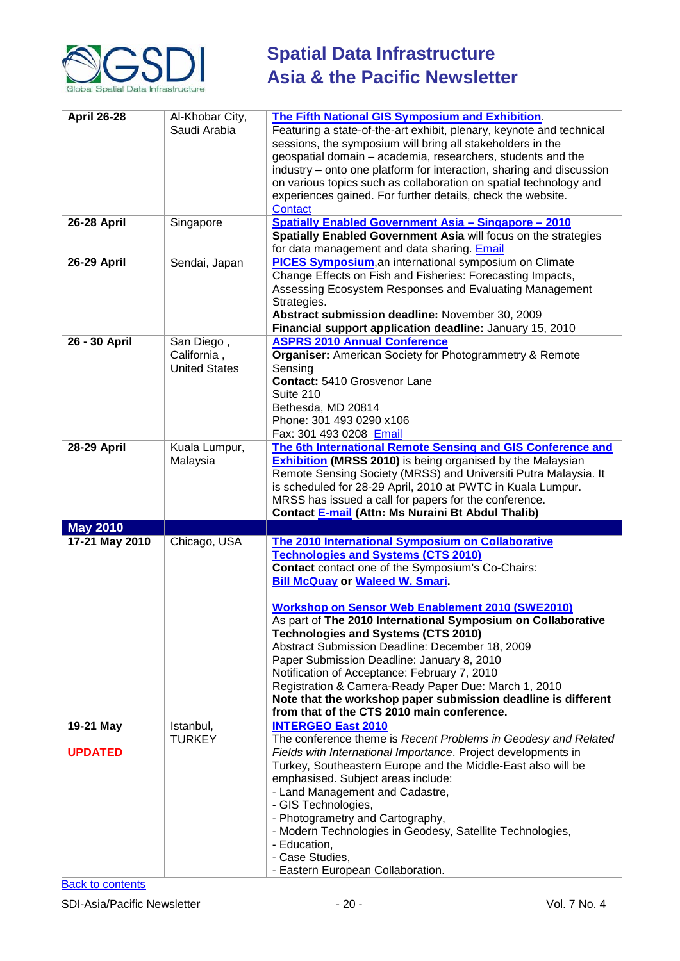

| <b>April 26-28</b> | Al-Khobar City,<br>Saudi Arabia                   | <b>The Fifth National GIS Symposium and Exhibition.</b><br>Featuring a state-of-the-art exhibit, plenary, keynote and technical<br>sessions, the symposium will bring all stakeholders in the<br>geospatial domain - academia, researchers, students and the<br>industry – onto one platform for interaction, sharing and discussion<br>on various topics such as collaboration on spatial technology and<br>experiences gained. For further details, check the website.<br>Contact                                                                                                                                                                                                                    |
|--------------------|---------------------------------------------------|--------------------------------------------------------------------------------------------------------------------------------------------------------------------------------------------------------------------------------------------------------------------------------------------------------------------------------------------------------------------------------------------------------------------------------------------------------------------------------------------------------------------------------------------------------------------------------------------------------------------------------------------------------------------------------------------------------|
| <b>26-28 April</b> | Singapore                                         | <b>Spatially Enabled Government Asia - Singapore - 2010</b><br>Spatially Enabled Government Asia will focus on the strategies<br>for data management and data sharing. Email                                                                                                                                                                                                                                                                                                                                                                                                                                                                                                                           |
| <b>26-29 April</b> | Sendai, Japan                                     | <b>PICES Symposium, an international symposium on Climate</b><br>Change Effects on Fish and Fisheries: Forecasting Impacts,<br>Assessing Ecosystem Responses and Evaluating Management<br>Strategies.<br>Abstract submission deadline: November 30, 2009<br>Financial support application deadline: January 15, 2010                                                                                                                                                                                                                                                                                                                                                                                   |
| 26 - 30 April      | San Diego,<br>California,<br><b>United States</b> | <b>ASPRS 2010 Annual Conference</b><br><b>Organiser:</b> American Society for Photogrammetry & Remote<br>Sensing<br><b>Contact: 5410 Grosvenor Lane</b><br>Suite 210<br>Bethesda, MD 20814<br>Phone: 301 493 0290 x106<br>Fax: 301 493 0208 Email                                                                                                                                                                                                                                                                                                                                                                                                                                                      |
| <b>28-29 April</b> | Kuala Lumpur,<br>Malaysia                         | The 6th International Remote Sensing and GIS Conference and<br><b>Exhibition (MRSS 2010)</b> is being organised by the Malaysian<br>Remote Sensing Society (MRSS) and Universiti Putra Malaysia. It<br>is scheduled for 28-29 April, 2010 at PWTC in Kuala Lumpur.<br>MRSS has issued a call for papers for the conference.<br>Contact E-mail (Attn: Ms Nuraini Bt Abdul Thalib)                                                                                                                                                                                                                                                                                                                       |
| <b>May 2010</b>    |                                                   |                                                                                                                                                                                                                                                                                                                                                                                                                                                                                                                                                                                                                                                                                                        |
| 17-21 May 2010     | Chicago, USA                                      | The 2010 International Symposium on Collaborative<br><b>Technologies and Systems (CTS 2010)</b><br><b>Contact</b> contact one of the Symposium's Co-Chairs:<br><b>Bill McQuay or Waleed W. Smari.</b><br><b>Workshop on Sensor Web Enablement 2010 (SWE2010)</b><br>As part of The 2010 International Symposium on Collaborative<br><b>Technologies and Systems (CTS 2010)</b><br>Abstract Submission Deadline: December 18, 2009<br>Paper Submission Deadline: January 8, 2010<br>Notification of Acceptance: February 7, 2010<br>Registration & Camera-Ready Paper Due: March 1, 2010<br>Note that the workshop paper submission deadline is different<br>from that of the CTS 2010 main conference. |
| 19-21 May          | Istanbul,                                         | <b>INTERGEO East 2010</b>                                                                                                                                                                                                                                                                                                                                                                                                                                                                                                                                                                                                                                                                              |
| <b>UPDATED</b>     | <b>TURKEY</b>                                     | The conference theme is Recent Problems in Geodesy and Related<br>Fields with International Importance. Project developments in<br>Turkey, Southeastern Europe and the Middle-East also will be<br>emphasised. Subject areas include:<br>- Land Management and Cadastre,<br>- GIS Technologies,<br>- Photogrametry and Cartography,<br>- Modern Technologies in Geodesy, Satellite Technologies,<br>- Education,<br>- Case Studies,                                                                                                                                                                                                                                                                    |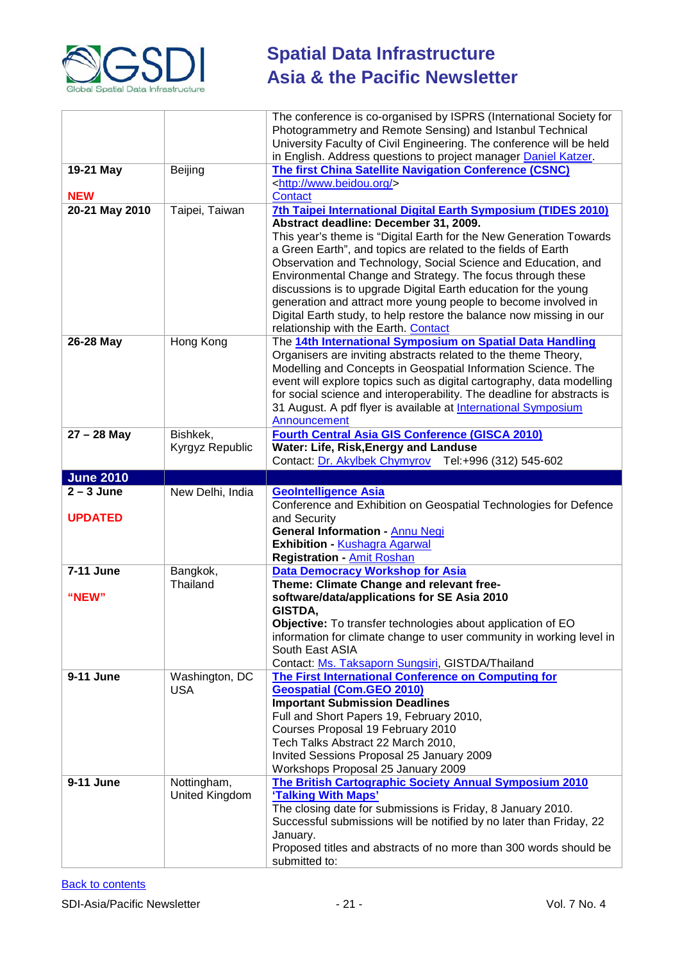

|                                |                              | The conference is co-organised by ISPRS (International Society for<br>Photogrammetry and Remote Sensing) and Istanbul Technical<br>University Faculty of Civil Engineering. The conference will be held<br>in English. Address questions to project manager Daniel Katzer.                                                                                                                                                                                                                                                                                                                                                       |
|--------------------------------|------------------------------|----------------------------------------------------------------------------------------------------------------------------------------------------------------------------------------------------------------------------------------------------------------------------------------------------------------------------------------------------------------------------------------------------------------------------------------------------------------------------------------------------------------------------------------------------------------------------------------------------------------------------------|
| 19-21 May<br><b>NEW</b>        | Beijing                      | The first China Satellite Navigation Conference (CSNC)<br><http: www.beidou.org=""></http:><br><b>Contact</b>                                                                                                                                                                                                                                                                                                                                                                                                                                                                                                                    |
| 20-21 May 2010                 | Taipei, Taiwan               | 7th Taipei International Digital Earth Symposium (TIDES 2010)<br>Abstract deadline: December 31, 2009.<br>This year's theme is "Digital Earth for the New Generation Towards<br>a Green Earth", and topics are related to the fields of Earth<br>Observation and Technology, Social Science and Education, and<br>Environmental Change and Strategy. The focus through these<br>discussions is to upgrade Digital Earth education for the young<br>generation and attract more young people to become involved in<br>Digital Earth study, to help restore the balance now missing in our<br>relationship with the Earth. Contact |
| 26-28 May                      | Hong Kong                    | The 14th International Symposium on Spatial Data Handling<br>Organisers are inviting abstracts related to the theme Theory,<br>Modelling and Concepts in Geospatial Information Science. The<br>event will explore topics such as digital cartography, data modelling<br>for social science and interoperability. The deadline for abstracts is<br>31 August. A pdf flyer is available at International Symposium<br>Announcement                                                                                                                                                                                                |
| $27 - 28$ May                  | Bishkek,<br>Kyrgyz Republic  | <b>Fourth Central Asia GIS Conference (GISCA 2010)</b><br>Water: Life, Risk, Energy and Landuse<br>Contact: Dr. Akylbek Chymyrov Tel: +996 (312) 545-602                                                                                                                                                                                                                                                                                                                                                                                                                                                                         |
| <b>June 2010</b>               |                              |                                                                                                                                                                                                                                                                                                                                                                                                                                                                                                                                                                                                                                  |
| $2 - 3$ June<br><b>UPDATED</b> | New Delhi, India             | <b>GeoIntelligence Asia</b><br>Conference and Exhibition on Geospatial Technologies for Defence<br>and Security<br><b>General Information - Annu Negi</b><br><b>Exhibition - Kushagra Agarwal</b><br><b>Registration - Amit Roshan</b>                                                                                                                                                                                                                                                                                                                                                                                           |
| 7-11 June<br>"NEW"             | Bangkok,                     | <b>Data Democracy Workshop for Asia</b>                                                                                                                                                                                                                                                                                                                                                                                                                                                                                                                                                                                          |
|                                | Thailand                     | Theme: Climate Change and relevant free-<br>software/data/applications for SE Asia 2010<br>GISTDA,<br>Objective: To transfer technologies about application of EO<br>information for climate change to user community in working level in<br>South East ASIA<br>Contact: Ms. Taksaporn Sungsiri, GISTDA/Thailand                                                                                                                                                                                                                                                                                                                 |
| 9-11 June                      | Washington, DC<br><b>USA</b> | The First International Conference on Computing for<br><b>Geospatial (Com.GEO 2010)</b><br><b>Important Submission Deadlines</b><br>Full and Short Papers 19, February 2010,<br>Courses Proposal 19 February 2010<br>Tech Talks Abstract 22 March 2010,<br>Invited Sessions Proposal 25 January 2009<br>Workshops Proposal 25 January 2009                                                                                                                                                                                                                                                                                       |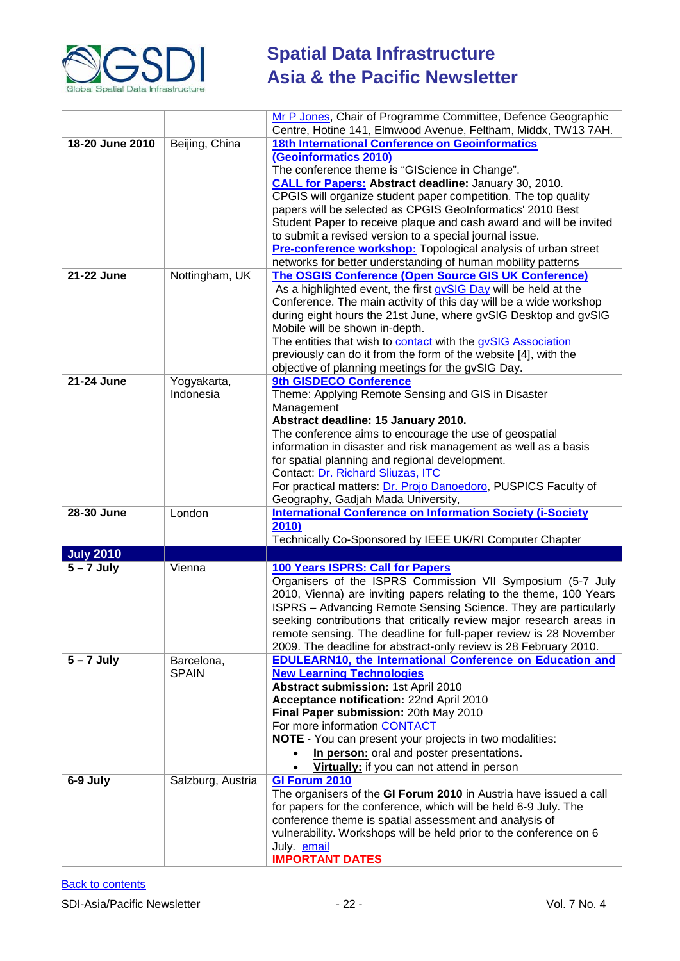

|                  |                   | Mr P Jones, Chair of Programme Committee, Defence Geographic                                                                          |
|------------------|-------------------|---------------------------------------------------------------------------------------------------------------------------------------|
|                  |                   | Centre, Hotine 141, Elmwood Avenue, Feltham, Middx, TW13 7AH.                                                                         |
| 18-20 June 2010  | Beijing, China    | <b>18th International Conference on Geoinformatics</b>                                                                                |
|                  |                   | (Geoinformatics 2010)<br>The conference theme is "GIScience in Change".                                                               |
|                  |                   | <b>CALL for Papers: Abstract deadline: January 30, 2010.</b>                                                                          |
|                  |                   | CPGIS will organize student paper competition. The top quality                                                                        |
|                  |                   | papers will be selected as CPGIS GeoInformatics' 2010 Best                                                                            |
|                  |                   | Student Paper to receive plaque and cash award and will be invited                                                                    |
|                  |                   | to submit a revised version to a special journal issue.                                                                               |
|                  |                   | Pre-conference workshop: Topological analysis of urban street                                                                         |
| 21-22 June       | Nottingham, UK    | networks for better understanding of human mobility patterns<br><b>The OSGIS Conference (Open Source GIS UK Conference)</b>           |
|                  |                   | As a highlighted event, the first gvSIG Day will be held at the                                                                       |
|                  |                   | Conference. The main activity of this day will be a wide workshop                                                                     |
|                  |                   | during eight hours the 21st June, where gvSIG Desktop and gvSIG                                                                       |
|                  |                   | Mobile will be shown in-depth.                                                                                                        |
|                  |                   | The entities that wish to contact with the gvSIG Association                                                                          |
|                  |                   | previously can do it from the form of the website [4], with the                                                                       |
| 21-24 June       | Yogyakarta,       | objective of planning meetings for the gvSIG Day.<br>9th GISDECO Conference                                                           |
|                  | Indonesia         | Theme: Applying Remote Sensing and GIS in Disaster                                                                                    |
|                  |                   | Management                                                                                                                            |
|                  |                   | Abstract deadline: 15 January 2010.                                                                                                   |
|                  |                   | The conference aims to encourage the use of geospatial                                                                                |
|                  |                   | information in disaster and risk management as well as a basis                                                                        |
|                  |                   | for spatial planning and regional development.<br>Contact: Dr. Richard Sliuzas, ITC                                                   |
|                  |                   | For practical matters: Dr. Projo Danoedoro, PUSPICS Faculty of                                                                        |
|                  |                   | Geography, Gadjah Mada University,                                                                                                    |
| 28-30 June       | London            | <b>International Conference on Information Society (i-Society</b>                                                                     |
|                  |                   | 2010)                                                                                                                                 |
| <b>July 2010</b> |                   | Technically Co-Sponsored by IEEE UK/RI Computer Chapter                                                                               |
| $5 - 7$ July     | Vienna            | 100 Years ISPRS: Call for Papers                                                                                                      |
|                  |                   | Organisers of the ISPRS Commission VII Symposium (5-7 July                                                                            |
|                  |                   | 2010, Vienna) are inviting papers relating to the theme, 100 Years                                                                    |
|                  |                   | ISPRS - Advancing Remote Sensing Science. They are particularly                                                                       |
|                  |                   | seeking contributions that critically review major research areas in                                                                  |
|                  |                   | remote sensing. The deadline for full-paper review is 28 November<br>2009. The deadline for abstract-only review is 28 February 2010. |
| $5 - 7$ July     | Barcelona,        | <b>EDULEARN10, the International Conference on Education and</b>                                                                      |
|                  | <b>SPAIN</b>      | <b>New Learning Technologies</b>                                                                                                      |
|                  |                   | Abstract submission: 1st April 2010                                                                                                   |
|                  |                   | Acceptance notification: 22nd April 2010                                                                                              |
|                  |                   | Final Paper submission: 20th May 2010                                                                                                 |
|                  |                   | For more information CONTACT                                                                                                          |
|                  |                   | <b>NOTE</b> - You can present your projects in two modalities:<br>In person: oral and poster presentations.                           |
|                  |                   | Virtually: if you can not attend in person<br>$\bullet$                                                                               |
| 6-9 July         | Salzburg, Austria | GI Forum 2010                                                                                                                         |
|                  |                   | The organisers of the GI Forum 2010 in Austria have issued a call                                                                     |
|                  |                   | for papers for the conference, which will be held 6-9 July. The                                                                       |
|                  |                   | conference theme is spatial assessment and analysis of                                                                                |
|                  |                   | vulnerability. Workshops will be held prior to the conference on 6                                                                    |
|                  |                   | July. email<br><b>IMPORTANT DATES</b>                                                                                                 |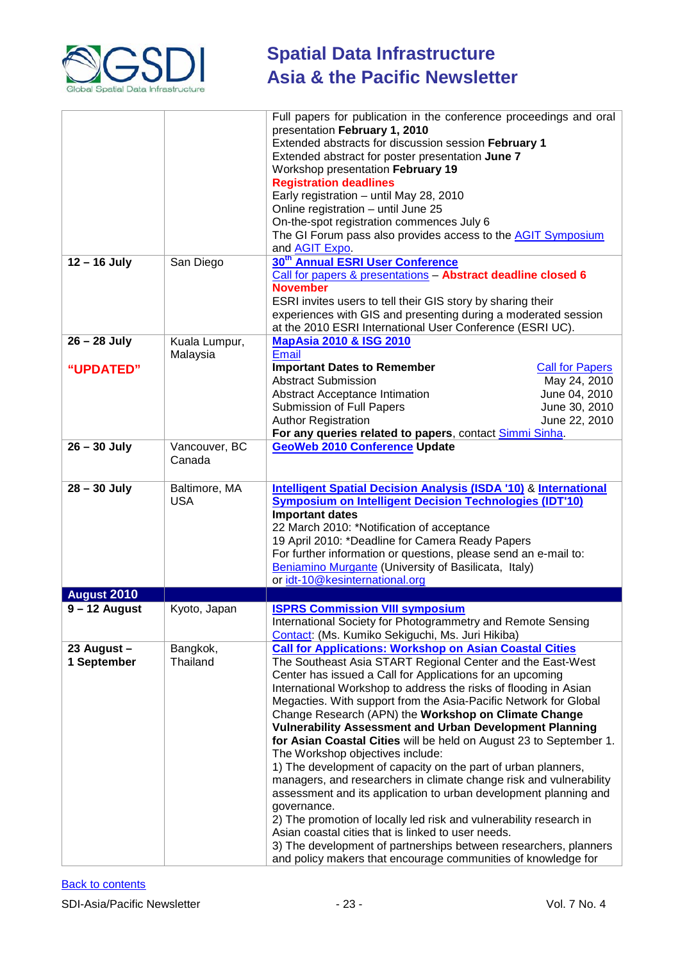

|                             |                             | Full papers for publication in the conference proceedings and oral<br>presentation February 1, 2010<br>Extended abstracts for discussion session February 1<br>Extended abstract for poster presentation June 7<br>Workshop presentation February 19<br><b>Registration deadlines</b><br>Early registration - until May 28, 2010<br>Online registration - until June 25<br>On-the-spot registration commences July 6<br>The GI Forum pass also provides access to the AGIT Symposium<br>and <b>AGIT Expo.</b>                                                                                                                                                                                                                                                                                                                                                                                                                                                                                                                                                    |                                                                                           |
|-----------------------------|-----------------------------|------------------------------------------------------------------------------------------------------------------------------------------------------------------------------------------------------------------------------------------------------------------------------------------------------------------------------------------------------------------------------------------------------------------------------------------------------------------------------------------------------------------------------------------------------------------------------------------------------------------------------------------------------------------------------------------------------------------------------------------------------------------------------------------------------------------------------------------------------------------------------------------------------------------------------------------------------------------------------------------------------------------------------------------------------------------|-------------------------------------------------------------------------------------------|
| $12 - 16$ July              | San Diego                   | 30 <sup>th</sup> Annual ESRI User Conference<br>Call for papers & presentations - Abstract deadline closed 6<br><b>November</b><br>ESRI invites users to tell their GIS story by sharing their<br>experiences with GIS and presenting during a moderated session<br>at the 2010 ESRI International User Conference (ESRI UC).                                                                                                                                                                                                                                                                                                                                                                                                                                                                                                                                                                                                                                                                                                                                    |                                                                                           |
| $26 - 28$ July<br>"UPDATED" | Kuala Lumpur,<br>Malaysia   | <b>MapAsia 2010 &amp; ISG 2010</b><br><b>Email</b><br><b>Important Dates to Remember</b><br>Abstract Submission<br>Abstract Acceptance Intimation<br><b>Submission of Full Papers</b><br><b>Author Registration</b><br>For any queries related to papers, contact Simmi Sinha.                                                                                                                                                                                                                                                                                                                                                                                                                                                                                                                                                                                                                                                                                                                                                                                   | <b>Call for Papers</b><br>May 24, 2010<br>June 04, 2010<br>June 30, 2010<br>June 22, 2010 |
| $26 - 30$ July              | Vancouver, BC<br>Canada     | <b>GeoWeb 2010 Conference Update</b>                                                                                                                                                                                                                                                                                                                                                                                                                                                                                                                                                                                                                                                                                                                                                                                                                                                                                                                                                                                                                             |                                                                                           |
| $28 - 30$ July              | Baltimore, MA<br><b>USA</b> | <b>Intelligent Spatial Decision Analysis (ISDA '10) &amp; International</b><br><b>Symposium on Intelligent Decision Technologies (IDT'10)</b><br><b>Important dates</b><br>22 March 2010: *Notification of acceptance<br>19 April 2010: *Deadline for Camera Ready Papers<br>For further information or questions, please send an e-mail to:<br>Beniamino Murgante (University of Basilicata, Italy)<br>or idt-10@kesinternational.org                                                                                                                                                                                                                                                                                                                                                                                                                                                                                                                                                                                                                           |                                                                                           |
| <b>August 2010</b>          |                             |                                                                                                                                                                                                                                                                                                                                                                                                                                                                                                                                                                                                                                                                                                                                                                                                                                                                                                                                                                                                                                                                  |                                                                                           |
| $9 - 12$ August             | Kyoto, Japan                | <b>ISPRS Commission VIII symposium</b><br>International Society for Photogrammetry and Remote Sensing<br>Contact: (Ms. Kumiko Sekiguchi, Ms. Juri Hikiba)                                                                                                                                                                                                                                                                                                                                                                                                                                                                                                                                                                                                                                                                                                                                                                                                                                                                                                        |                                                                                           |
| 23 August -<br>1 September  | Bangkok,<br>Thailand        | <b>Call for Applications: Workshop on Asian Coastal Cities</b><br>The Southeast Asia START Regional Center and the East-West<br>Center has issued a Call for Applications for an upcoming<br>International Workshop to address the risks of flooding in Asian<br>Megacties. With support from the Asia-Pacific Network for Global<br>Change Research (APN) the Workshop on Climate Change<br><b>Vulnerability Assessment and Urban Development Planning</b><br>for Asian Coastal Cities will be held on August 23 to September 1.<br>The Workshop objectives include:<br>1) The development of capacity on the part of urban planners,<br>managers, and researchers in climate change risk and vulnerability<br>assessment and its application to urban development planning and<br>governance.<br>2) The promotion of locally led risk and vulnerability research in<br>Asian coastal cities that is linked to user needs.<br>3) The development of partnerships between researchers, planners<br>and policy makers that encourage communities of knowledge for |                                                                                           |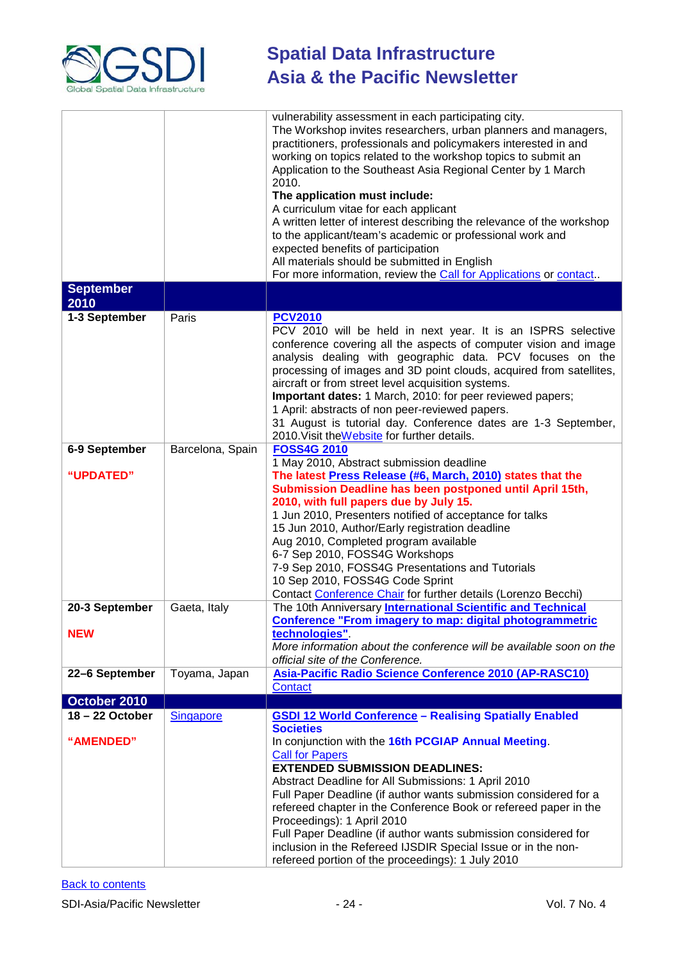

| <b>September</b>               |                  | vulnerability assessment in each participating city.<br>The Workshop invites researchers, urban planners and managers,<br>practitioners, professionals and policymakers interested in and<br>working on topics related to the workshop topics to submit an<br>Application to the Southeast Asia Regional Center by 1 March<br>2010.<br>The application must include:<br>A curriculum vitae for each applicant<br>A written letter of interest describing the relevance of the workshop<br>to the applicant/team's academic or professional work and<br>expected benefits of participation<br>All materials should be submitted in English<br>For more information, review the Call for Applications or contact |
|--------------------------------|------------------|----------------------------------------------------------------------------------------------------------------------------------------------------------------------------------------------------------------------------------------------------------------------------------------------------------------------------------------------------------------------------------------------------------------------------------------------------------------------------------------------------------------------------------------------------------------------------------------------------------------------------------------------------------------------------------------------------------------|
| 2010                           |                  |                                                                                                                                                                                                                                                                                                                                                                                                                                                                                                                                                                                                                                                                                                                |
| 1-3 September                  | Paris            | <b>PCV2010</b><br>PCV 2010 will be held in next year. It is an ISPRS selective<br>conference covering all the aspects of computer vision and image<br>analysis dealing with geographic data. PCV focuses on the<br>processing of images and 3D point clouds, acquired from satellites,<br>aircraft or from street level acquisition systems.<br>Important dates: 1 March, 2010: for peer reviewed papers;<br>1 April: abstracts of non peer-reviewed papers.<br>31 August is tutorial day. Conference dates are 1-3 September,<br>2010. Visit the Website for further details.                                                                                                                                 |
| 6-9 September<br>"UPDATED"     | Barcelona, Spain | <b>FOSS4G 2010</b><br>1 May 2010, Abstract submission deadline<br>The latest Press Release (#6, March, 2010) states that the<br>Submission Deadline has been postponed until April 15th,<br>2010, with full papers due by July 15.<br>1 Jun 2010, Presenters notified of acceptance for talks<br>15 Jun 2010, Author/Early registration deadline<br>Aug 2010, Completed program available<br>6-7 Sep 2010, FOSS4G Workshops<br>7-9 Sep 2010, FOSS4G Presentations and Tutorials<br>10 Sep 2010, FOSS4G Code Sprint<br>Contact Conference Chair for further details (Lorenzo Becchi)                                                                                                                            |
| 20-3 September<br><b>NEW</b>   | Gaeta, Italy     | The 10th Anniversary International Scientific and Technical<br><b>Conference "From imagery to map: digital photogrammetric</b><br>technologies".<br>More information about the conference will be available soon on the                                                                                                                                                                                                                                                                                                                                                                                                                                                                                        |
|                                |                  | official site of the Conference.                                                                                                                                                                                                                                                                                                                                                                                                                                                                                                                                                                                                                                                                               |
| 22-6 September                 | Toyama, Japan    | Asia-Pacific Radio Science Conference 2010 (AP-RASC10)<br>Contact                                                                                                                                                                                                                                                                                                                                                                                                                                                                                                                                                                                                                                              |
| October 2010                   |                  |                                                                                                                                                                                                                                                                                                                                                                                                                                                                                                                                                                                                                                                                                                                |
| $18 - 22$ October<br>"AMENDED" | <b>Singapore</b> | <b>GSDI 12 World Conference - Realising Spatially Enabled</b><br><b>Societies</b><br>In conjunction with the 16th PCGIAP Annual Meeting.<br><b>Call for Papers</b><br><b>EXTENDED SUBMISSION DEADLINES:</b><br>Abstract Deadline for All Submissions: 1 April 2010<br>Full Paper Deadline (if author wants submission considered for a<br>refereed chapter in the Conference Book or refereed paper in the<br>Proceedings): 1 April 2010<br>Full Paper Deadline (if author wants submission considered for<br>inclusion in the Refereed IJSDIR Special Issue or in the non-<br>refereed portion of the proceedings): 1 July 2010                                                                               |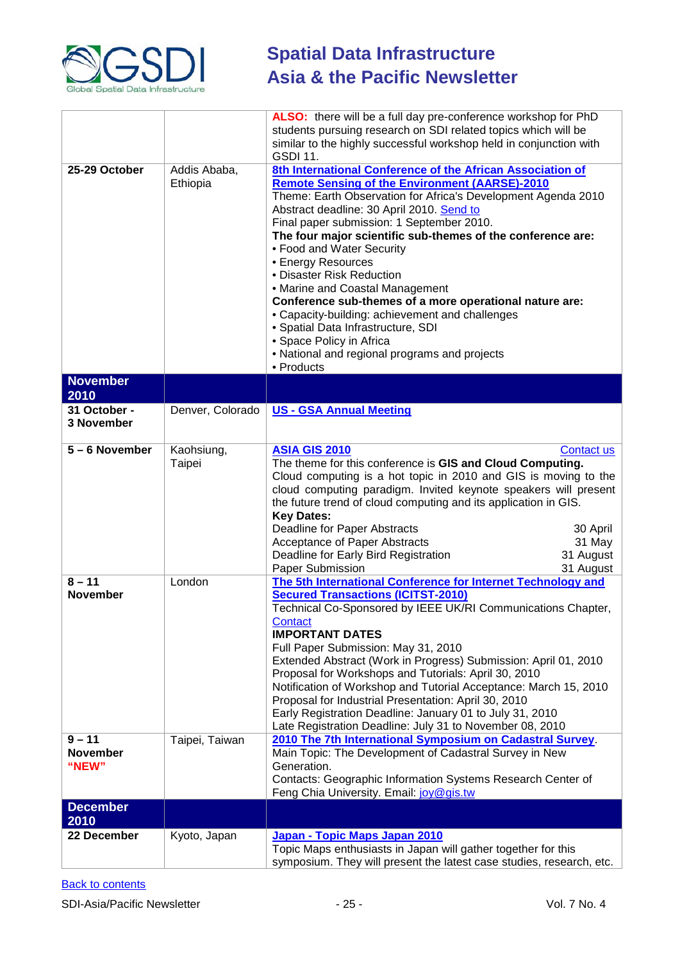

| 25-29 October                      | Addis Ababa,<br>Ethiopia | ALSO: there will be a full day pre-conference workshop for PhD<br>students pursuing research on SDI related topics which will be<br>similar to the highly successful workshop held in conjunction with<br><b>GSDI 11.</b><br>8th International Conference of the African Association of<br><b>Remote Sensing of the Environment (AARSE)-2010</b><br>Theme: Earth Observation for Africa's Development Agenda 2010<br>Abstract deadline: 30 April 2010. Send to<br>Final paper submission: 1 September 2010.<br>The four major scientific sub-themes of the conference are:<br>• Food and Water Security<br>• Energy Resources<br>• Disaster Risk Reduction<br>• Marine and Coastal Management<br>Conference sub-themes of a more operational nature are:<br>• Capacity-building: achievement and challenges<br>• Spatial Data Infrastructure, SDI<br>• Space Policy in Africa<br>• National and regional programs and projects<br>• Products |  |
|------------------------------------|--------------------------|----------------------------------------------------------------------------------------------------------------------------------------------------------------------------------------------------------------------------------------------------------------------------------------------------------------------------------------------------------------------------------------------------------------------------------------------------------------------------------------------------------------------------------------------------------------------------------------------------------------------------------------------------------------------------------------------------------------------------------------------------------------------------------------------------------------------------------------------------------------------------------------------------------------------------------------------|--|
| <b>November</b>                    |                          |                                                                                                                                                                                                                                                                                                                                                                                                                                                                                                                                                                                                                                                                                                                                                                                                                                                                                                                                              |  |
| 2010<br>31 October -<br>3 November | Denver, Colorado         | <b>US - GSA Annual Meeting</b>                                                                                                                                                                                                                                                                                                                                                                                                                                                                                                                                                                                                                                                                                                                                                                                                                                                                                                               |  |
| 5 - 6 November                     | Kaohsiung,<br>Taipei     | <b>ASIA GIS 2010</b><br>Contact us<br>The theme for this conference is GIS and Cloud Computing.<br>Cloud computing is a hot topic in 2010 and GIS is moving to the<br>cloud computing paradigm. Invited keynote speakers will present<br>the future trend of cloud computing and its application in GIS.<br><b>Key Dates:</b><br>Deadline for Paper Abstracts<br>30 April<br>Acceptance of Paper Abstracts<br>31 May<br>31 August<br>Deadline for Early Bird Registration<br>Paper Submission<br>31 August                                                                                                                                                                                                                                                                                                                                                                                                                                   |  |
| $8 - 11$<br><b>November</b>        | London                   | The 5th International Conference for Internet Technology and<br><b>Secured Transactions (ICITST-2010)</b><br>Technical Co-Sponsored by IEEE UK/RI Communications Chapter,<br>Contact<br><b>IMPORTANT DATES</b><br>Full Paper Submission: May 31, 2010<br>Extended Abstract (Work in Progress) Submission: April 01, 2010<br>Proposal for Workshops and Tutorials: April 30, 2010<br>Notification of Workshop and Tutorial Acceptance: March 15, 2010<br>Proposal for Industrial Presentation: April 30, 2010<br>Early Registration Deadline: January 01 to July 31, 2010<br>Late Registration Deadline: July 31 to November 08, 2010                                                                                                                                                                                                                                                                                                         |  |
| $9 - 11$<br>November<br>"NEW"      | Taipei, Taiwan           | 2010 The 7th International Symposium on Cadastral Survey.<br>Main Topic: The Development of Cadastral Survey in New<br>Generation.<br>Contacts: Geographic Information Systems Research Center of<br>Feng Chia University. Email: joy@gis.tw                                                                                                                                                                                                                                                                                                                                                                                                                                                                                                                                                                                                                                                                                                 |  |
| <b>December</b><br>2010            |                          |                                                                                                                                                                                                                                                                                                                                                                                                                                                                                                                                                                                                                                                                                                                                                                                                                                                                                                                                              |  |
| 22 December                        | Kyoto, Japan             | Japan - Topic Maps Japan 2010<br>Topic Maps enthusiasts in Japan will gather together for this<br>symposium. They will present the latest case studies, research, etc.                                                                                                                                                                                                                                                                                                                                                                                                                                                                                                                                                                                                                                                                                                                                                                       |  |